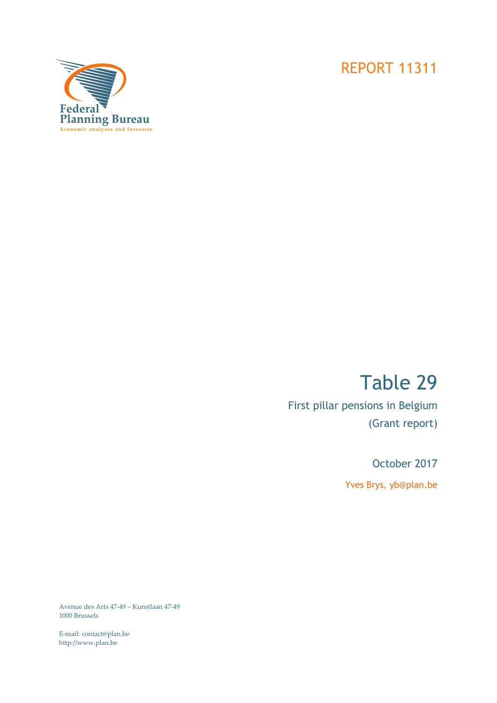# REPORT 11311



# Table 29

First pillar pensions in Belgium (Grant report)

October 2017

Yves Brys, yb@plan.be

Avenue des Arts 47-49 – Kunstlaan 47-49 1000 Brussels

E-mail: contact@plan.be http://www.plan.be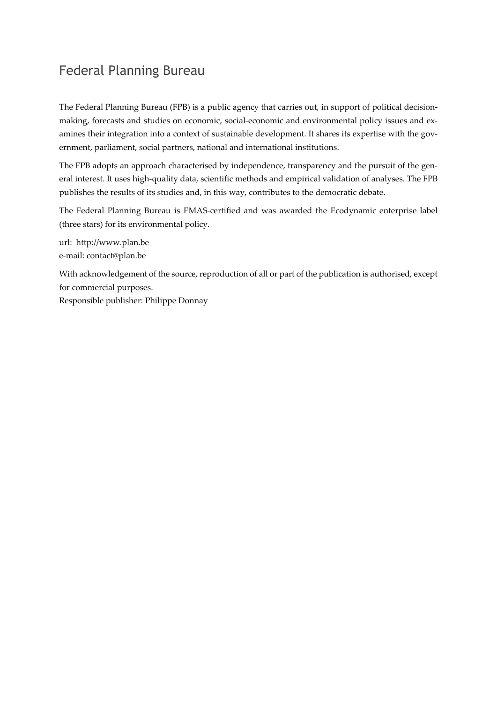# Federal Planning Bureau

The Federal Planning Bureau (FPB) is a public agency that carries out, in support of political decisionmaking, forecasts and studies on economic, social-economic and environmental policy issues and examines their integration into a context of sustainable development. It shares its expertise with the government, parliament, social partners, national and international institutions.

The FPB adopts an approach characterised by independence, transparency and the pursuit of the general interest. It uses high-quality data, scientific methods and empirical validation of analyses. The FPB publishes the results of its studies and, in this way, contributes to the democratic debate.

The Federal Planning Bureau is EMAS-certified and was awarded the Ecodynamic enterprise label (three stars) for its environmental policy.

url: http://www.plan.be e-mail: contact@plan.be

With acknowledgement of the source, reproduction of all or part of the publication is authorised, except for commercial purposes.

Responsible publisher: Philippe Donnay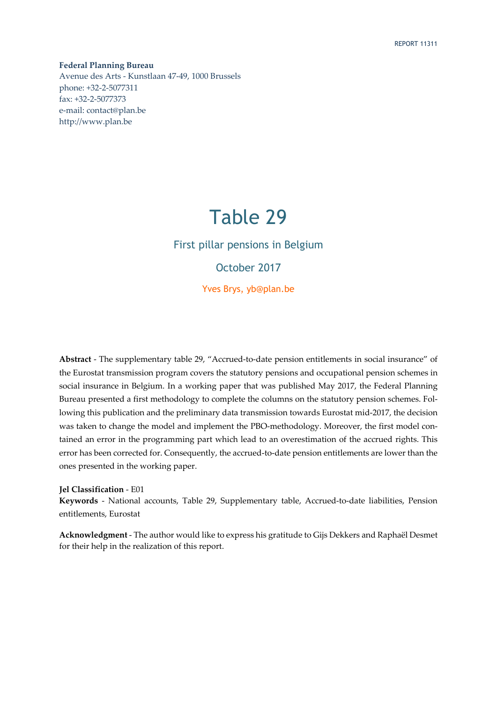**Federal Planning Bureau**  Avenue des Arts - Kunstlaan 47-49, 1000 Brussels phone: +32-2-5077311 fax: +32-2-5077373 e-mail: contact@plan.be http://www.plan.be

# Table 29

# First pillar pensions in Belgium

October 2017

Yves Brys, yb@plan.be

**Abstract** - The supplementary table 29, "Accrued-to-date pension entitlements in social insurance" of the Eurostat transmission program covers the statutory pensions and occupational pension schemes in social insurance in Belgium. In a working paper that was published May 2017, the Federal Planning Bureau presented a first methodology to complete the columns on the statutory pension schemes. Following this publication and the preliminary data transmission towards Eurostat mid-2017, the decision was taken to change the model and implement the PBO-methodology. Moreover, the first model contained an error in the programming part which lead to an overestimation of the accrued rights. This error has been corrected for. Consequently, the accrued-to-date pension entitlements are lower than the ones presented in the working paper.

**Jel Classification** - E01

**Keywords** - National accounts, Table 29, Supplementary table, Accrued-to-date liabilities, Pension entitlements, Eurostat

**Acknowledgment** - The author would like to express his gratitude to Gijs Dekkers and Raphaël Desmet for their help in the realization of this report.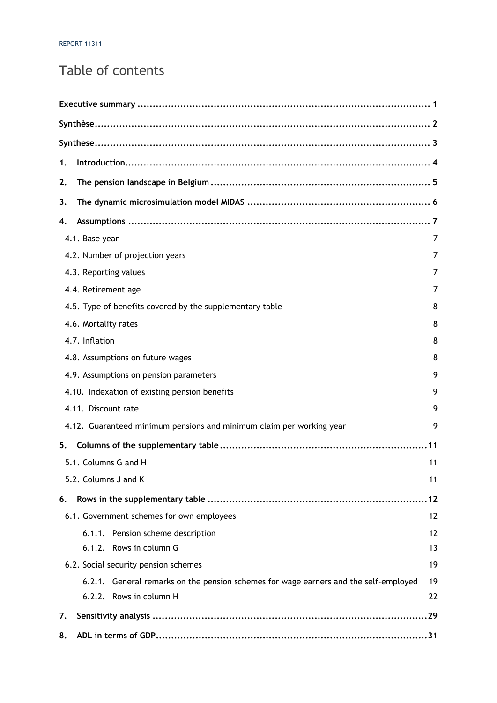# Table of contents

| 1. |                                                                                      |                |
|----|--------------------------------------------------------------------------------------|----------------|
| 2. |                                                                                      |                |
| 3. |                                                                                      |                |
| 4. |                                                                                      |                |
|    | 4.1. Base year                                                                       | $\overline{7}$ |
|    | 4.2. Number of projection years                                                      | 7              |
|    | 4.3. Reporting values                                                                | 7              |
|    | 4.4. Retirement age                                                                  | 7              |
|    | 4.5. Type of benefits covered by the supplementary table                             | 8              |
|    | 4.6. Mortality rates                                                                 | 8              |
|    | 4.7. Inflation                                                                       | 8              |
|    | 4.8. Assumptions on future wages                                                     | 8              |
|    | 4.9. Assumptions on pension parameters                                               | 9              |
|    | 4.10. Indexation of existing pension benefits                                        | 9              |
|    | 4.11. Discount rate                                                                  | 9              |
|    | 4.12. Guaranteed minimum pensions and minimum claim per working year                 | 9              |
| 5. |                                                                                      |                |
|    | 5.1. Columns G and H                                                                 | 11             |
|    | 5.2. Columns J and K                                                                 | 11             |
| 6. |                                                                                      |                |
|    | 6.1. Government schemes for own employees                                            | 12             |
|    | 6.1.1. Pension scheme description                                                    | 12             |
|    | 6.1.2. Rows in column G                                                              | 13             |
|    | 6.2. Social security pension schemes                                                 | 19             |
|    | 6.2.1. General remarks on the pension schemes for wage earners and the self-employed | 19             |
|    | 6.2.2. Rows in column H                                                              | 22             |
| 7. |                                                                                      |                |
| 8. |                                                                                      |                |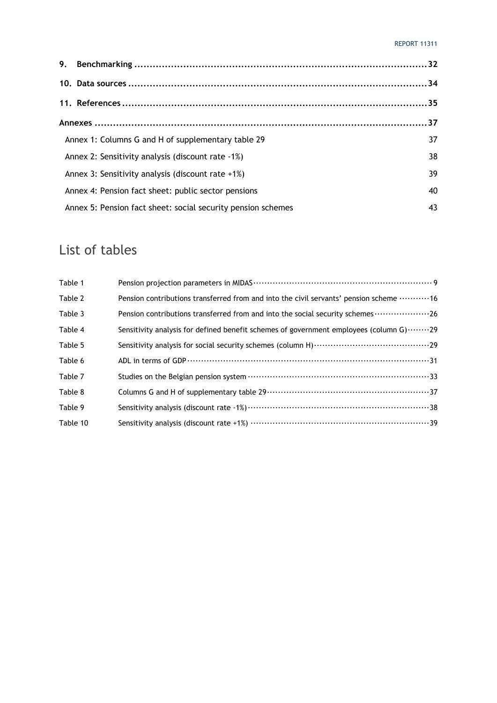| Annex 1: Columns G and H of supplementary table 29           | 37 |
|--------------------------------------------------------------|----|
| Annex 2: Sensitivity analysis (discount rate -1%)            | 38 |
| Annex 3: Sensitivity analysis (discount rate +1%)            | 39 |
| Annex 4: Pension fact sheet: public sector pensions          | 40 |
| Annex 5: Pension fact sheet: social security pension schemes | 43 |

# List of tables

| Table 1  |                                                                                        |
|----------|----------------------------------------------------------------------------------------|
| Table 2  | Pension contributions transferred from and into the civil servants' pension scheme 16  |
| Table 3  | Pension contributions transferred from and into the social security schemes 26         |
| Table 4  | Sensitivity analysis for defined benefit schemes of government employees (column G) 29 |
| Table 5  |                                                                                        |
| Table 6  |                                                                                        |
| Table 7  |                                                                                        |
| Table 8  |                                                                                        |
| Table 9  |                                                                                        |
| Table 10 |                                                                                        |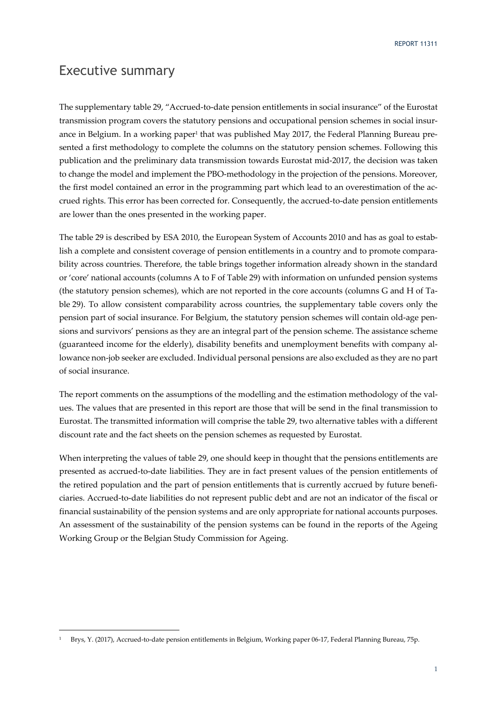# Executive summary

-

The supplementary table 29, "Accrued-to-date pension entitlements in social insurance" of the Eurostat transmission program covers the statutory pensions and occupational pension schemes in social insurance in Belgium. In a working paper<sup>1</sup> that was published May 2017, the Federal Planning Bureau presented a first methodology to complete the columns on the statutory pension schemes. Following this publication and the preliminary data transmission towards Eurostat mid-2017, the decision was taken to change the model and implement the PBO-methodology in the projection of the pensions. Moreover, the first model contained an error in the programming part which lead to an overestimation of the accrued rights. This error has been corrected for. Consequently, the accrued-to-date pension entitlements are lower than the ones presented in the working paper.

The table 29 is described by ESA 2010, the European System of Accounts 2010 and has as goal to establish a complete and consistent coverage of pension entitlements in a country and to promote comparability across countries. Therefore, the table brings together information already shown in the standard or 'core' national accounts (columns A to F of Table 29) with information on unfunded pension systems (the statutory pension schemes), which are not reported in the core accounts (columns G and H of Table 29). To allow consistent comparability across countries, the supplementary table covers only the pension part of social insurance. For Belgium, the statutory pension schemes will contain old-age pensions and survivors' pensions as they are an integral part of the pension scheme. The assistance scheme (guaranteed income for the elderly), disability benefits and unemployment benefits with company allowance non-job seeker are excluded. Individual personal pensions are also excluded as they are no part of social insurance.

The report comments on the assumptions of the modelling and the estimation methodology of the values. The values that are presented in this report are those that will be send in the final transmission to Eurostat. The transmitted information will comprise the table 29, two alternative tables with a different discount rate and the fact sheets on the pension schemes as requested by Eurostat.

When interpreting the values of table 29, one should keep in thought that the pensions entitlements are presented as accrued-to-date liabilities. They are in fact present values of the pension entitlements of the retired population and the part of pension entitlements that is currently accrued by future beneficiaries. Accrued-to-date liabilities do not represent public debt and are not an indicator of the fiscal or financial sustainability of the pension systems and are only appropriate for national accounts purposes. An assessment of the sustainability of the pension systems can be found in the reports of the Ageing Working Group or the Belgian Study Commission for Ageing.

<sup>1</sup> Brys, Y. (2017), Accrued-to-date pension entitlements in Belgium, Working paper 06-17, Federal Planning Bureau, 75p.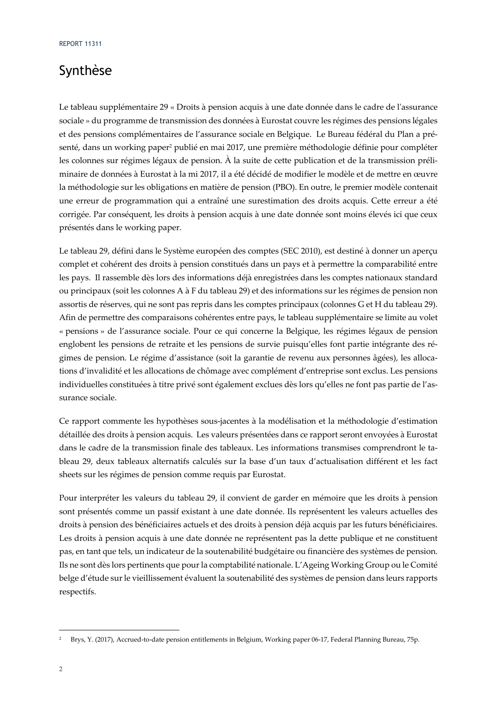# Synthèse

Le tableau supplémentaire 29 « Droits à pension acquis à une date donnée dans le cadre de l'assurance sociale » du programme de transmission des données à Eurostat couvre les régimes des pensions légales et des pensions complémentaires de l'assurance sociale en Belgique. Le Bureau fédéral du Plan a présenté, dans un working paper<sup>2</sup> publié en mai 2017, une première méthodologie définie pour compléter les colonnes sur régimes légaux de pension. À la suite de cette publication et de la transmission préliminaire de données à Eurostat à la mi 2017, il a été décidé de modifier le modèle et de mettre en œuvre la méthodologie sur les obligations en matière de pension (PBO). En outre, le premier modèle contenait une erreur de programmation qui a entraîné une surestimation des droits acquis. Cette erreur a été corrigée. Par conséquent, les droits à pension acquis à une date donnée sont moins élevés ici que ceux présentés dans le working paper.

Le tableau 29, défini dans le Système européen des comptes (SEC 2010), est destiné à donner un aperçu complet et cohérent des droits à pension constitués dans un pays et à permettre la comparabilité entre les pays. Il rassemble dès lors des informations déjà enregistrées dans les comptes nationaux standard ou principaux (soit les colonnes A à F du tableau 29) et des informations sur les régimes de pension non assortis de réserves, qui ne sont pas repris dans les comptes principaux (colonnes G et H du tableau 29). Afin de permettre des comparaisons cohérentes entre pays, le tableau supplémentaire se limite au volet « pensions » de l'assurance sociale. Pour ce qui concerne la Belgique, les régimes légaux de pension englobent les pensions de retraite et les pensions de survie puisqu'elles font partie intégrante des régimes de pension. Le régime d'assistance (soit la garantie de revenu aux personnes âgées), les allocations d'invalidité et les allocations de chômage avec complément d'entreprise sont exclus. Les pensions individuelles constituées à titre privé sont également exclues dès lors qu'elles ne font pas partie de l'assurance sociale.

Ce rapport commente les hypothèses sous-jacentes à la modélisation et la méthodologie d'estimation détaillée des droits à pension acquis. Les valeurs présentées dans ce rapport seront envoyées à Eurostat dans le cadre de la transmission finale des tableaux. Les informations transmises comprendront le tableau 29, deux tableaux alternatifs calculés sur la base d'un taux d'actualisation différent et les fact sheets sur les régimes de pension comme requis par Eurostat.

Pour interpréter les valeurs du tableau 29, il convient de garder en mémoire que les droits à pension sont présentés comme un passif existant à une date donnée. Ils représentent les valeurs actuelles des droits à pension des bénéficiaires actuels et des droits à pension déjà acquis par les futurs bénéficiaires. Les droits à pension acquis à une date donnée ne représentent pas la dette publique et ne constituent pas, en tant que tels, un indicateur de la soutenabilité budgétaire ou financière des systèmes de pension. Ils ne sont dès lors pertinents que pour la comptabilité nationale. L'Ageing Working Group ou le Comité belge d'étude sur le vieillissement évaluent la soutenabilité des systèmes de pension dans leurs rapports respectifs.

<sup>2</sup> Brys, Y. (2017), Accrued-to-date pension entitlements in Belgium, Working paper 06-17, Federal Planning Bureau, 75p.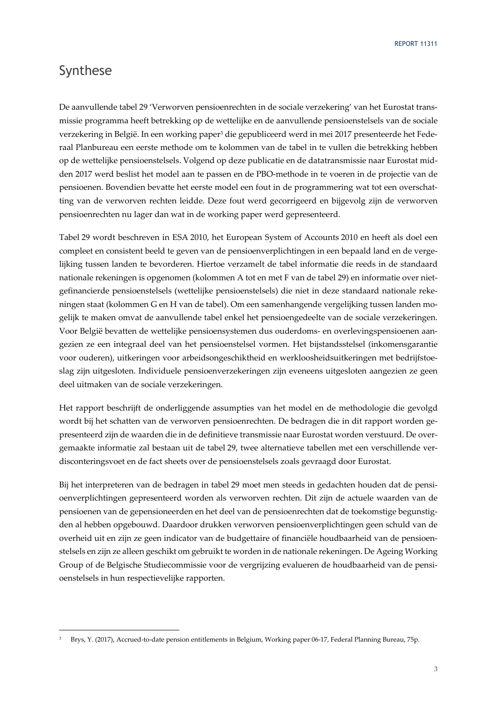# Synthese

-

De aanvullende tabel 29 'Verworven pensioenrechten in de sociale verzekering' van het Eurostat transmissie programma heeft betrekking op de wettelijke en de aanvullende pensioenstelsels van de sociale verzekering in België. In een working paper<sup>3</sup> die gepubliceerd werd in mei 2017 presenteerde het Federaal Planbureau een eerste methode om te kolommen van de tabel in te vullen die betrekking hebben op de wettelijke pensioenstelsels. Volgend op deze publicatie en de datatransmissie naar Eurostat midden 2017 werd beslist het model aan te passen en de PBO-methode in te voeren in de projectie van de pensioenen. Bovendien bevatte het eerste model een fout in de programmering wat tot een overschatting van de verworven rechten leidde. Deze fout werd gecorrigeerd en bijgevolg zijn de verworven pensioenrechten nu lager dan wat in de working paper werd gepresenteerd.

Tabel 29 wordt beschreven in ESA 2010, het European System of Accounts 2010 en heeft als doel een compleet en consistent beeld te geven van de pensioenverplichtingen in een bepaald land en de vergelijking tussen landen te bevorderen. Hiertoe verzamelt de tabel informatie die reeds in de standaard nationale rekeningen is opgenomen (kolommen A tot en met F van de tabel 29) en informatie over nietgefinancierde pensioenstelsels (wettelijke pensioenstelsels) die niet in deze standaard nationale rekeningen staat (kolommen G en H van de tabel). Om een samenhangende vergelijking tussen landen mogelijk te maken omvat de aanvullende tabel enkel het pensioengedeelte van de sociale verzekeringen. Voor België bevatten de wettelijke pensioensystemen dus ouderdoms- en overlevingspensioenen aangezien ze een integraal deel van het pensioenstelsel vormen. Het bijstandsstelsel (inkomensgarantie voor ouderen), uitkeringen voor arbeidsongeschiktheid en werkloosheidsuitkeringen met bedrijfstoeslag zijn uitgesloten. Individuele pensioenverzekeringen zijn eveneens uitgesloten aangezien ze geen deel uitmaken van de sociale verzekeringen.

Het rapport beschrijft de onderliggende assumpties van het model en de methodologie die gevolgd wordt bij het schatten van de verworven pensioenrechten. De bedragen die in dit rapport worden gepresenteerd zijn de waarden die in de definitieve transmissie naar Eurostat worden verstuurd. De overgemaakte informatie zal bestaan uit de tabel 29, twee alternatieve tabellen met een verschillende verdisconteringsvoet en de fact sheets over de pensioenstelsels zoals gevraagd door Eurostat.

Bij het interpreteren van de bedragen in tabel 29 moet men steeds in gedachten houden dat de pensioenverplichtingen gepresenteerd worden als verworven rechten. Dit zijn de actuele waarden van de pensioenen van de gepensioneerden en het deel van de pensioenrechten dat de toekomstige begunstigden al hebben opgebouwd. Daardoor drukken verworven pensioenverplichtingen geen schuld van de overheid uit en zijn ze geen indicator van de budgettaire of financiële houdbaarheid van de pensioenstelsels en zijn ze alleen geschikt om gebruikt te worden in de nationale rekeningen. De Ageing Working Group of de Belgische Studiecommissie voor de vergrijzing evalueren de houdbaarheid van de pensioenstelsels in hun respectievelijke rapporten.

<sup>3</sup> Brys, Y. (2017), Accrued-to-date pension entitlements in Belgium, Working paper 06-17, Federal Planning Bureau, 75p.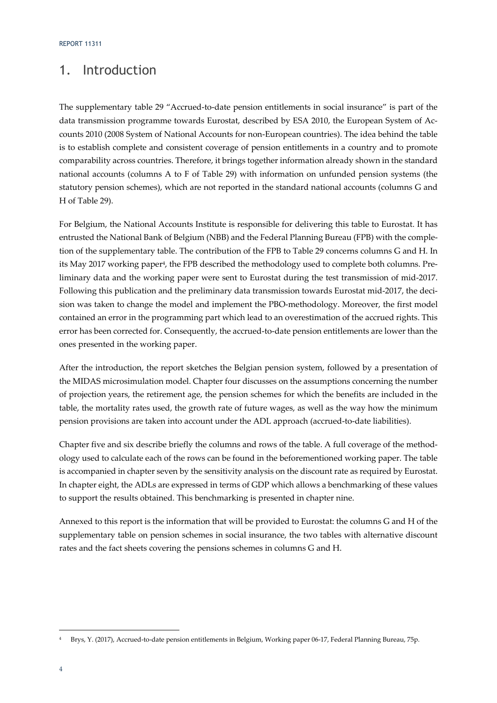# 1. Introduction

The supplementary table 29 "Accrued-to-date pension entitlements in social insurance" is part of the data transmission programme towards Eurostat, described by ESA 2010, the European System of Accounts 2010 (2008 System of National Accounts for non-European countries). The idea behind the table is to establish complete and consistent coverage of pension entitlements in a country and to promote comparability across countries. Therefore, it brings together information already shown in the standard national accounts (columns A to F of Table 29) with information on unfunded pension systems (the statutory pension schemes), which are not reported in the standard national accounts (columns G and H of Table 29).

For Belgium, the National Accounts Institute is responsible for delivering this table to Eurostat. It has entrusted the National Bank of Belgium (NBB) and the Federal Planning Bureau (FPB) with the completion of the supplementary table. The contribution of the FPB to Table 29 concerns columns G and H. In its May 2017 working paper<sup>4</sup>, the FPB described the methodology used to complete both columns. Preliminary data and the working paper were sent to Eurostat during the test transmission of mid-2017. Following this publication and the preliminary data transmission towards Eurostat mid-2017, the decision was taken to change the model and implement the PBO-methodology. Moreover, the first model contained an error in the programming part which lead to an overestimation of the accrued rights. This error has been corrected for. Consequently, the accrued-to-date pension entitlements are lower than the ones presented in the working paper.

After the introduction, the report sketches the Belgian pension system, followed by a presentation of the MIDAS microsimulation model. Chapter four discusses on the assumptions concerning the number of projection years, the retirement age, the pension schemes for which the benefits are included in the table, the mortality rates used, the growth rate of future wages, as well as the way how the minimum pension provisions are taken into account under the ADL approach (accrued-to-date liabilities).

Chapter five and six describe briefly the columns and rows of the table. A full coverage of the methodology used to calculate each of the rows can be found in the beforementioned working paper. The table is accompanied in chapter seven by the sensitivity analysis on the discount rate as required by Eurostat. In chapter eight, the ADLs are expressed in terms of GDP which allows a benchmarking of these values to support the results obtained. This benchmarking is presented in chapter nine.

Annexed to this report is the information that will be provided to Eurostat: the columns G and H of the supplementary table on pension schemes in social insurance, the two tables with alternative discount rates and the fact sheets covering the pensions schemes in columns G and H.

<sup>4</sup> Brys, Y. (2017), Accrued-to-date pension entitlements in Belgium, Working paper 06-17, Federal Planning Bureau, 75p.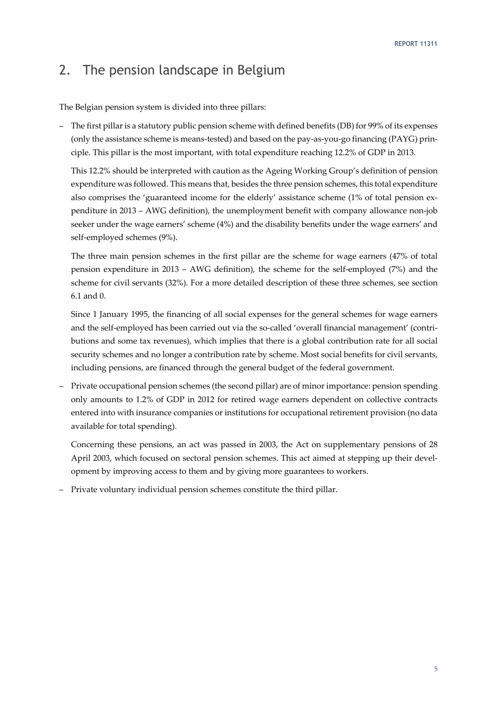# 2. The pension landscape in Belgium

The Belgian pension system is divided into three pillars:

– The first pillar is a statutory public pension scheme with defined benefits (DB) for 99% of its expenses (only the assistance scheme is means-tested) and based on the pay-as-you-go financing (PAYG) principle. This pillar is the most important, with total expenditure reaching 12.2% of GDP in 2013.

This 12.2% should be interpreted with caution as the Ageing Working Group's definition of pension expenditure was followed. This means that, besides the three pension schemes, this total expenditure also comprises the 'guaranteed income for the elderly' assistance scheme (1% of total pension expenditure in 2013 – AWG definition), the unemployment benefit with company allowance non-job seeker under the wage earners' scheme (4%) and the disability benefits under the wage earners' and self-employed schemes (9%).

The three main pension schemes in the first pillar are the scheme for wage earners (47% of total pension expenditure in 2013 – AWG definition), the scheme for the self-employed (7%) and the scheme for civil servants (32%). For a more detailed description of these three schemes, see section 6.1 and 0.

Since 1 January 1995, the financing of all social expenses for the general schemes for wage earners and the self-employed has been carried out via the so-called 'overall financial management' (contributions and some tax revenues), which implies that there is a global contribution rate for all social security schemes and no longer a contribution rate by scheme. Most social benefits for civil servants, including pensions, are financed through the general budget of the federal government.

– Private occupational pension schemes (the second pillar) are of minor importance: pension spending only amounts to 1.2% of GDP in 2012 for retired wage earners dependent on collective contracts entered into with insurance companies or institutions for occupational retirement provision (no data available for total spending).

Concerning these pensions, an act was passed in 2003, the Act on supplementary pensions of 28 April 2003, which focused on sectoral pension schemes. This act aimed at stepping up their development by improving access to them and by giving more guarantees to workers.

– Private voluntary individual pension schemes constitute the third pillar.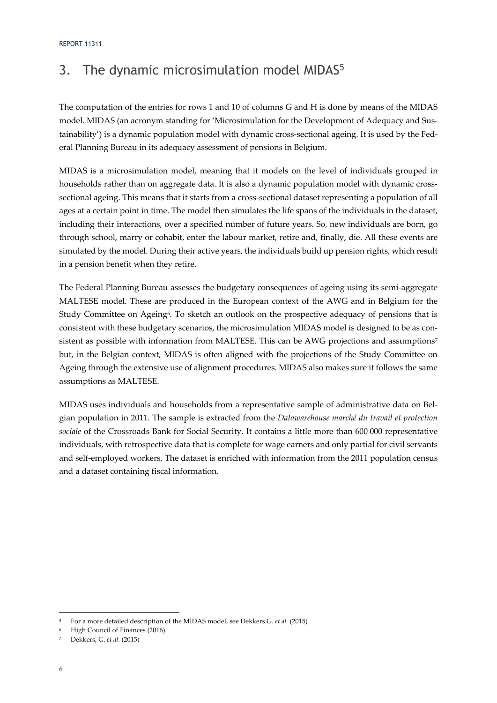# 3. The dynamic microsimulation model MIDAS<sup>5</sup>

The computation of the entries for rows 1 and 10 of columns G and H is done by means of the MIDAS model. MIDAS (an acronym standing for 'Microsimulation for the Development of Adequacy and Sustainability') is a dynamic population model with dynamic cross-sectional ageing. It is used by the Federal Planning Bureau in its adequacy assessment of pensions in Belgium.

MIDAS is a microsimulation model, meaning that it models on the level of individuals grouped in households rather than on aggregate data. It is also a dynamic population model with dynamic crosssectional ageing. This means that it starts from a cross-sectional dataset representing a population of all ages at a certain point in time. The model then simulates the life spans of the individuals in the dataset, including their interactions, over a specified number of future years. So, new individuals are born, go through school, marry or cohabit, enter the labour market, retire and, finally, die. All these events are simulated by the model. During their active years, the individuals build up pension rights, which result in a pension benefit when they retire.

The Federal Planning Bureau assesses the budgetary consequences of ageing using its semi-aggregate MALTESE model. These are produced in the European context of the AWG and in Belgium for the Study Committee on Ageing<sup>6</sup>. To sketch an outlook on the prospective adequacy of pensions that is consistent with these budgetary scenarios, the microsimulation MIDAS model is designed to be as consistent as possible with information from MALTESE. This can be AWG projections and assumptions<sup>7</sup> but, in the Belgian context, MIDAS is often aligned with the projections of the Study Committee on Ageing through the extensive use of alignment procedures. MIDAS also makes sure it follows the same assumptions as MALTESE.

MIDAS uses individuals and households from a representative sample of administrative data on Belgian population in 2011. The sample is extracted from the *Datawarehouse marché du travail et protection sociale* of the Crossroads Bank for Social Security. It contains a little more than 600 000 representative individuals, with retrospective data that is complete for wage earners and only partial for civil servants and self-employed workers. The dataset is enriched with information from the 2011 population census and a dataset containing fiscal information.

<sup>5</sup> For a more detailed description of the MIDAS model, see Dekkers G. *et al.* (2015)

<sup>6</sup> High Council of Finances (2016)

<sup>7</sup> Dekkers, G. *et al.* (2015)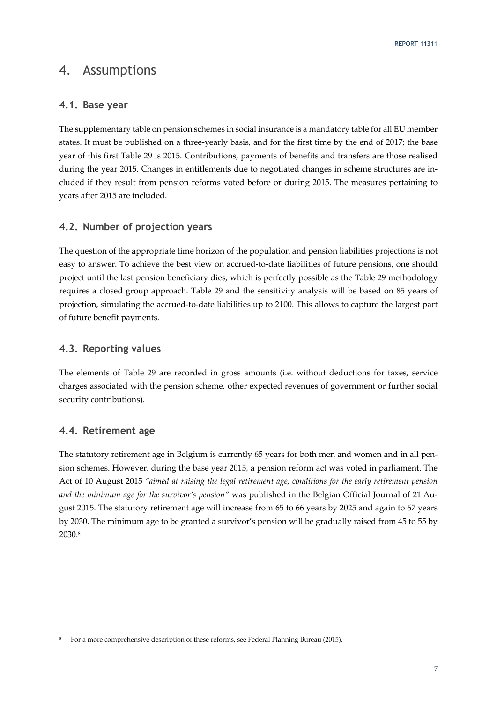# 4. Assumptions

# **4.1. Base year**

The supplementary table on pension schemes in social insurance is a mandatory table for all EU member states. It must be published on a three-yearly basis, and for the first time by the end of 2017; the base year of this first Table 29 is 2015. Contributions, payments of benefits and transfers are those realised during the year 2015. Changes in entitlements due to negotiated changes in scheme structures are included if they result from pension reforms voted before or during 2015. The measures pertaining to years after 2015 are included.

# **4.2. Number of projection years**

The question of the appropriate time horizon of the population and pension liabilities projections is not easy to answer. To achieve the best view on accrued-to-date liabilities of future pensions, one should project until the last pension beneficiary dies, which is perfectly possible as the Table 29 methodology requires a closed group approach. Table 29 and the sensitivity analysis will be based on 85 years of projection, simulating the accrued-to-date liabilities up to 2100. This allows to capture the largest part of future benefit payments.

# **4.3. Reporting values**

The elements of Table 29 are recorded in gross amounts (i.e. without deductions for taxes, service charges associated with the pension scheme, other expected revenues of government or further social security contributions).

# **4.4. Retirement age**

-

The statutory retirement age in Belgium is currently 65 years for both men and women and in all pension schemes. However, during the base year 2015, a pension reform act was voted in parliament. The Act of 10 August 2015 *"aimed at raising the legal retirement age, conditions for the early retirement pension and the minimum age for the survivor's pension"* was published in the Belgian Official Journal of 21 August 2015. The statutory retirement age will increase from 65 to 66 years by 2025 and again to 67 years by 2030. The minimum age to be granted a survivor's pension will be gradually raised from 45 to 55 by 2030.8

<sup>8</sup> For a more comprehensive description of these reforms, see Federal Planning Bureau (2015).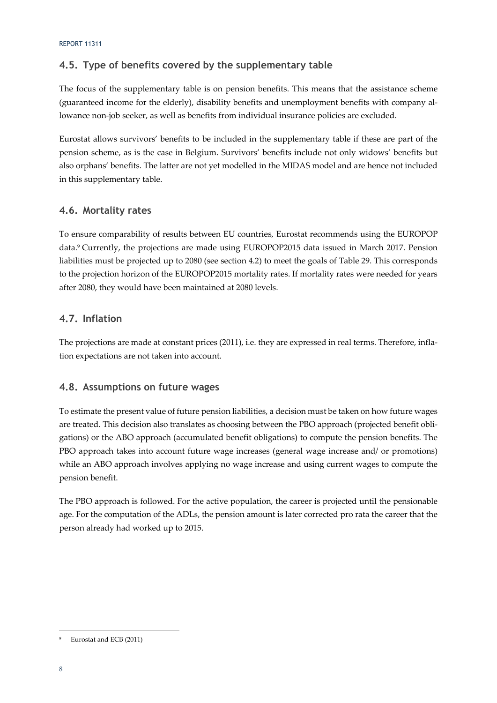# **4.5. Type of benefits covered by the supplementary table**

The focus of the supplementary table is on pension benefits. This means that the assistance scheme (guaranteed income for the elderly), disability benefits and unemployment benefits with company allowance non-job seeker, as well as benefits from individual insurance policies are excluded.

Eurostat allows survivors' benefits to be included in the supplementary table if these are part of the pension scheme, as is the case in Belgium. Survivors' benefits include not only widows' benefits but also orphans' benefits. The latter are not yet modelled in the MIDAS model and are hence not included in this supplementary table.

# **4.6. Mortality rates**

To ensure comparability of results between EU countries, Eurostat recommends using the EUROPOP data.9 Currently, the projections are made using EUROPOP2015 data issued in March 2017. Pension liabilities must be projected up to 2080 (see section 4.2) to meet the goals of Table 29. This corresponds to the projection horizon of the EUROPOP2015 mortality rates. If mortality rates were needed for years after 2080, they would have been maintained at 2080 levels.

# **4.7. Inflation**

The projections are made at constant prices (2011), i.e. they are expressed in real terms. Therefore, inflation expectations are not taken into account.

# **4.8. Assumptions on future wages**

To estimate the present value of future pension liabilities, a decision must be taken on how future wages are treated. This decision also translates as choosing between the PBO approach (projected benefit obligations) or the ABO approach (accumulated benefit obligations) to compute the pension benefits. The PBO approach takes into account future wage increases (general wage increase and/ or promotions) while an ABO approach involves applying no wage increase and using current wages to compute the pension benefit.

The PBO approach is followed. For the active population, the career is projected until the pensionable age. For the computation of the ADLs, the pension amount is later corrected pro rata the career that the person already had worked up to 2015.

Eurostat and ECB (2011)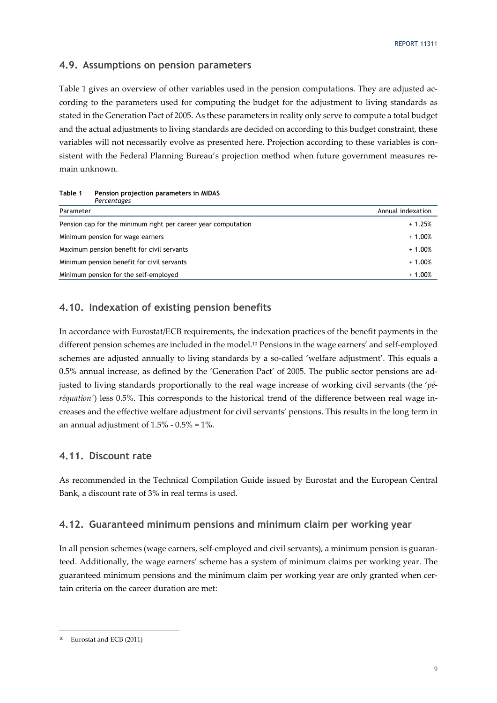# **4.9. Assumptions on pension parameters**

Table 1 gives an overview of other variables used in the pension computations. They are adjusted according to the parameters used for computing the budget for the adjustment to living standards as stated in the Generation Pact of 2005. As these parameters in reality only serve to compute a total budget and the actual adjustments to living standards are decided on according to this budget constraint, these variables will not necessarily evolve as presented here. Projection according to these variables is consistent with the Federal Planning Bureau's projection method when future government measures remain unknown.

| Percentages                                                   |                   |
|---------------------------------------------------------------|-------------------|
| Parameter                                                     | Annual indexation |
| Pension cap for the minimum right per career year computation | $+1.25%$          |
| Minimum pension for wage earners                              | $+1.00%$          |
| Maximum pension benefit for civil servants                    | $+1.00%$          |
| Minimum pension benefit for civil servants                    | $+1.00%$          |
| Minimum pension for the self-employed                         | $+1.00%$          |

**Table 1 Pension projection parameters in MIDAS** 

# **4.10. Indexation of existing pension benefits**

In accordance with Eurostat/ECB requirements, the indexation practices of the benefit payments in the different pension schemes are included in the model.10 Pensions in the wage earners' and self-employed schemes are adjusted annually to living standards by a so-called 'welfare adjustment'. This equals a 0.5% annual increase, as defined by the 'Generation Pact' of 2005. The public sector pensions are adjusted to living standards proportionally to the real wage increase of working civil servants (the '*péréquation'*) less 0.5%. This corresponds to the historical trend of the difference between real wage increases and the effective welfare adjustment for civil servants' pensions. This results in the long term in an annual adjustment of  $1.5\%$  -  $0.5\%$  =  $1\%$ .

# **4.11. Discount rate**

As recommended in the Technical Compilation Guide issued by Eurostat and the European Central Bank, a discount rate of 3% in real terms is used.

### **4.12. Guaranteed minimum pensions and minimum claim per working year**

In all pension schemes (wage earners, self-employed and civil servants), a minimum pension is guaranteed. Additionally, the wage earners' scheme has a system of minimum claims per working year. The guaranteed minimum pensions and the minimum claim per working year are only granted when certain criteria on the career duration are met:

<sup>10</sup> Eurostat and ECB (2011)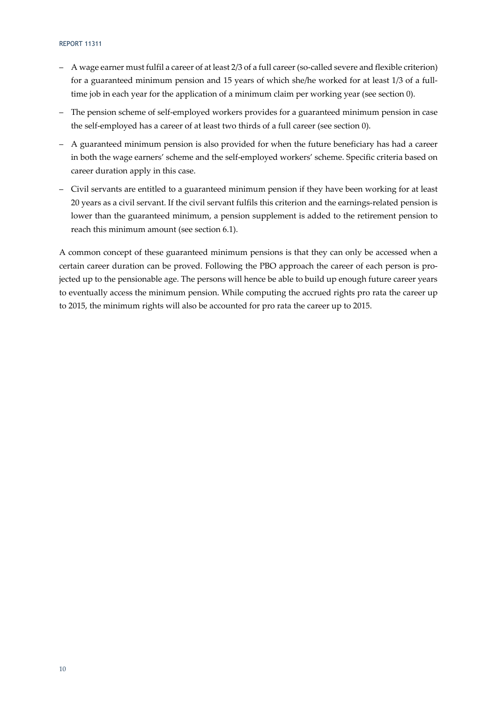#### REPORT 11311

- A wage earner must fulfil a career of at least 2/3 of a full career (so-called severe and flexible criterion) for a guaranteed minimum pension and 15 years of which she/he worked for at least 1/3 of a fulltime job in each year for the application of a minimum claim per working year (see section 0).
- The pension scheme of self-employed workers provides for a guaranteed minimum pension in case the self-employed has a career of at least two thirds of a full career (see section 0).
- A guaranteed minimum pension is also provided for when the future beneficiary has had a career in both the wage earners' scheme and the self-employed workers' scheme. Specific criteria based on career duration apply in this case.
- Civil servants are entitled to a guaranteed minimum pension if they have been working for at least 20 years as a civil servant. If the civil servant fulfils this criterion and the earnings-related pension is lower than the guaranteed minimum, a pension supplement is added to the retirement pension to reach this minimum amount (see section 6.1).

A common concept of these guaranteed minimum pensions is that they can only be accessed when a certain career duration can be proved. Following the PBO approach the career of each person is projected up to the pensionable age. The persons will hence be able to build up enough future career years to eventually access the minimum pension. While computing the accrued rights pro rata the career up to 2015, the minimum rights will also be accounted for pro rata the career up to 2015.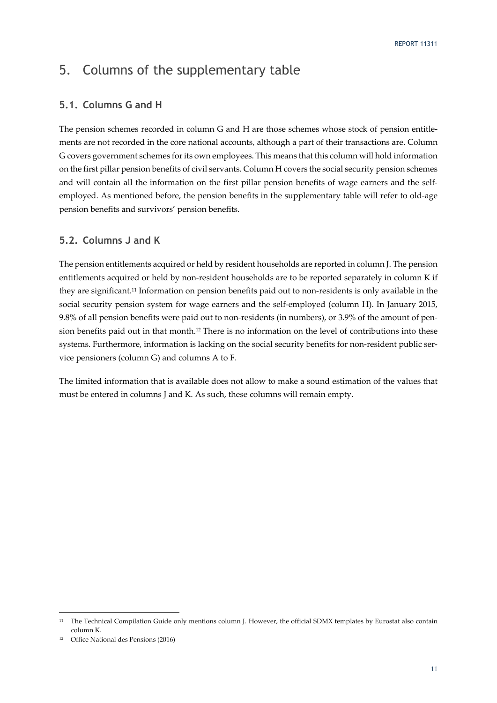# 5. Columns of the supplementary table

# **5.1. Columns G and H**

The pension schemes recorded in column G and H are those schemes whose stock of pension entitlements are not recorded in the core national accounts, although a part of their transactions are. Column G covers government schemes for its own employees. This means that this column will hold information on the first pillar pension benefits of civil servants. Column H covers the social security pension schemes and will contain all the information on the first pillar pension benefits of wage earners and the selfemployed. As mentioned before, the pension benefits in the supplementary table will refer to old-age pension benefits and survivors' pension benefits.

# **5.2. Columns J and K**

The pension entitlements acquired or held by resident households are reported in column J. The pension entitlements acquired or held by non-resident households are to be reported separately in column K if they are significant.11 Information on pension benefits paid out to non-residents is only available in the social security pension system for wage earners and the self-employed (column H). In January 2015, 9.8% of all pension benefits were paid out to non-residents (in numbers), or 3.9% of the amount of pension benefits paid out in that month.12 There is no information on the level of contributions into these systems. Furthermore, information is lacking on the social security benefits for non-resident public service pensioners (column G) and columns A to F.

The limited information that is available does not allow to make a sound estimation of the values that must be entered in columns J and K. As such, these columns will remain empty.

<sup>&</sup>lt;sup>11</sup> The Technical Compilation Guide only mentions column J. However, the official SDMX templates by Eurostat also contain column K.

<sup>12</sup> Office National des Pensions (2016)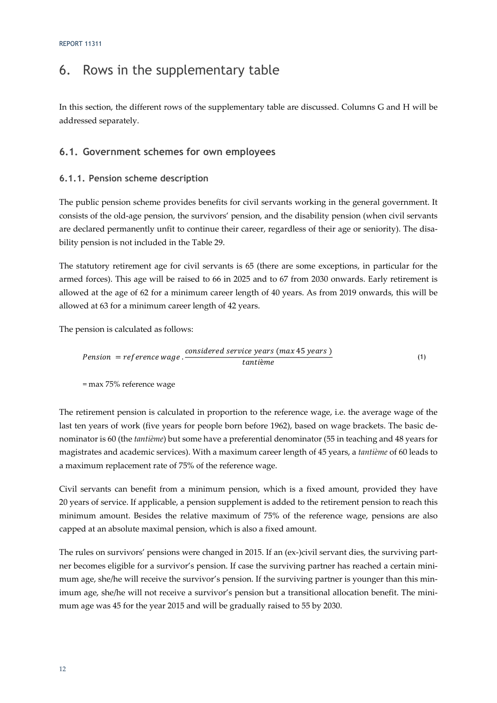# 6. Rows in the supplementary table

In this section, the different rows of the supplementary table are discussed. Columns G and H will be addressed separately.

# **6.1. Government schemes for own employees**

# **6.1.1. Pension scheme description**

The public pension scheme provides benefits for civil servants working in the general government. It consists of the old-age pension, the survivors' pension, and the disability pension (when civil servants are declared permanently unfit to continue their career, regardless of their age or seniority). The disability pension is not included in the Table 29.

The statutory retirement age for civil servants is 65 (there are some exceptions, in particular for the armed forces). This age will be raised to 66 in 2025 and to 67 from 2030 onwards. Early retirement is allowed at the age of 62 for a minimum career length of 40 years. As from 2019 onwards, this will be allowed at 63 for a minimum career length of 42 years.

The pension is calculated as follows:

$$
Pension = reference wage.
$$
\n(1)\n(2)

= max 75% reference wage

The retirement pension is calculated in proportion to the reference wage, i.e. the average wage of the last ten years of work (five years for people born before 1962), based on wage brackets. The basic denominator is 60 (the *tantième*) but some have a preferential denominator (55 in teaching and 48 years for magistrates and academic services). With a maximum career length of 45 years, a *tantième* of 60 leads to a maximum replacement rate of 75% of the reference wage.

Civil servants can benefit from a minimum pension, which is a fixed amount, provided they have 20 years of service. If applicable, a pension supplement is added to the retirement pension to reach this minimum amount. Besides the relative maximum of 75% of the reference wage, pensions are also capped at an absolute maximal pension, which is also a fixed amount.

The rules on survivors' pensions were changed in 2015. If an (ex-)civil servant dies, the surviving partner becomes eligible for a survivor's pension. If case the surviving partner has reached a certain minimum age, she/he will receive the survivor's pension. If the surviving partner is younger than this minimum age, she/he will not receive a survivor's pension but a transitional allocation benefit. The minimum age was 45 for the year 2015 and will be gradually raised to 55 by 2030.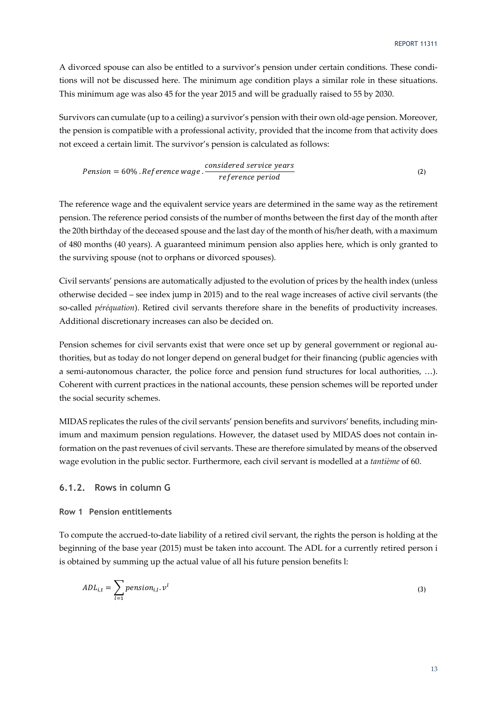A divorced spouse can also be entitled to a survivor's pension under certain conditions. These conditions will not be discussed here. The minimum age condition plays a similar role in these situations. This minimum age was also 45 for the year 2015 and will be gradually raised to 55 by 2030.

Survivors can cumulate (up to a ceiling) a survivor's pension with their own old-age pension. Moreover, the pension is compatible with a professional activity, provided that the income from that activity does not exceed a certain limit. The survivor's pension is calculated as follows:

$$
Pension = 60\% . Reference wage .\frac{considered service years}{reference period}
$$
\n(2)

The reference wage and the equivalent service years are determined in the same way as the retirement pension. The reference period consists of the number of months between the first day of the month after the 20th birthday of the deceased spouse and the last day of the month of his/her death, with a maximum of 480 months (40 years). A guaranteed minimum pension also applies here, which is only granted to the surviving spouse (not to orphans or divorced spouses).

Civil servants' pensions are automatically adjusted to the evolution of prices by the health index (unless otherwise decided – see index jump in 2015) and to the real wage increases of active civil servants (the so-called *péréquation*). Retired civil servants therefore share in the benefits of productivity increases. Additional discretionary increases can also be decided on.

Pension schemes for civil servants exist that were once set up by general government or regional authorities, but as today do not longer depend on general budget for their financing (public agencies with a semi-autonomous character, the police force and pension fund structures for local authorities, …). Coherent with current practices in the national accounts, these pension schemes will be reported under the social security schemes.

MIDAS replicates the rules of the civil servants' pension benefits and survivors' benefits, including minimum and maximum pension regulations. However, the dataset used by MIDAS does not contain information on the past revenues of civil servants. These are therefore simulated by means of the observed wage evolution in the public sector. Furthermore, each civil servant is modelled at a *tantième* of 60.

# **6.1.2. Rows in column G**

### **Row 1 Pension entitlements**

To compute the accrued-to-date liability of a retired civil servant, the rights the person is holding at the beginning of the base year (2015) must be taken into account. The ADL for a currently retired person i is obtained by summing up the actual value of all his future pension benefits l:

$$
ADL_{i,t} = \sum_{l=1}^{t} pension_{i,l}.v^{l}
$$
\n(3)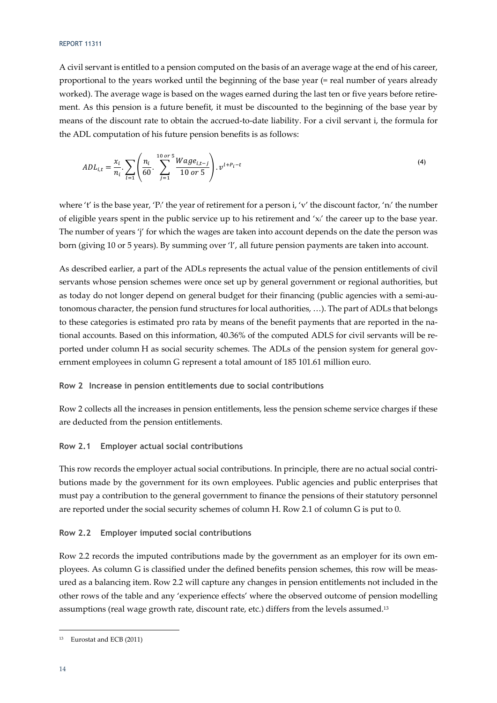#### REPORT 11311

A civil servant is entitled to a pension computed on the basis of an average wage at the end of his career, proportional to the years worked until the beginning of the base year (= real number of years already worked). The average wage is based on the wages earned during the last ten or five years before retirement. As this pension is a future benefit, it must be discounted to the beginning of the base year by means of the discount rate to obtain the accrued-to-date liability. For a civil servant i, the formula for the ADL computation of his future pension benefits is as follows:

$$
ADL_{i,t} = \frac{x_i}{n_i} \cdot \sum_{l=1}^{\infty} \left( \frac{n_i}{60} \cdot \sum_{j=1}^{10 \text{ or } 5} \frac{Wage_{i,t-j}}{10 \text{ or } 5} \right) \cdot v^{t+P_i-t}
$$
\n
$$
\tag{4}
$$

where 't' is the base year, 'P<sub>i</sub>' the year of retirement for a person i, 'v' the discount factor, 'n<sub>i</sub>' the number of eligible years spent in the public service up to his retirement and 'xi' the career up to the base year. The number of years 'j' for which the wages are taken into account depends on the date the person was born (giving 10 or 5 years). By summing over 'l', all future pension payments are taken into account.

As described earlier, a part of the ADLs represents the actual value of the pension entitlements of civil servants whose pension schemes were once set up by general government or regional authorities, but as today do not longer depend on general budget for their financing (public agencies with a semi-autonomous character, the pension fund structures for local authorities, …). The part of ADLs that belongs to these categories is estimated pro rata by means of the benefit payments that are reported in the national accounts. Based on this information, 40.36% of the computed ADLS for civil servants will be reported under column H as social security schemes. The ADLs of the pension system for general government employees in column G represent a total amount of 185 101.61 million euro.

### **Row 2 Increase in pension entitlements due to social contributions**

Row 2 collects all the increases in pension entitlements, less the pension scheme service charges if these are deducted from the pension entitlements.

### **Row 2.1 Employer actual social contributions**

This row records the employer actual social contributions. In principle, there are no actual social contributions made by the government for its own employees. Public agencies and public enterprises that must pay a contribution to the general government to finance the pensions of their statutory personnel are reported under the social security schemes of column H. Row 2.1 of column G is put to 0.

### **Row 2.2 Employer imputed social contributions**

Row 2.2 records the imputed contributions made by the government as an employer for its own employees. As column G is classified under the defined benefits pension schemes, this row will be measured as a balancing item. Row 2.2 will capture any changes in pension entitlements not included in the other rows of the table and any 'experience effects' where the observed outcome of pension modelling assumptions (real wage growth rate, discount rate, etc.) differs from the levels assumed.13

<sup>13</sup> Eurostat and ECB (2011)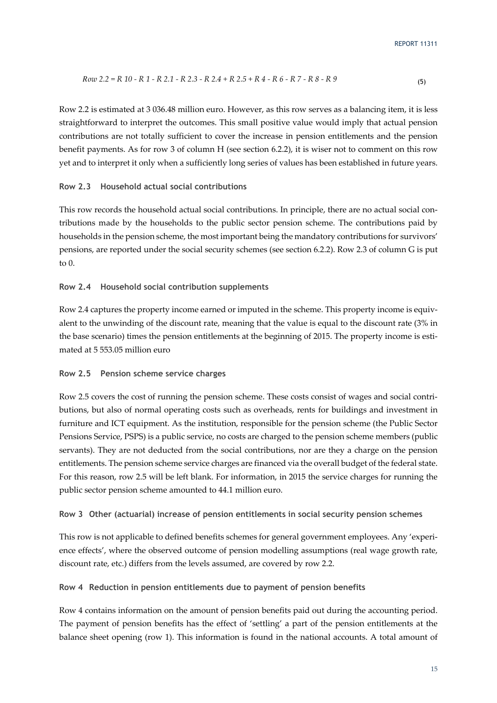$$
Row\ 2.2 = R\ 10 - R\ 1 - R\ 2.1 - R\ 2.3 - R\ 2.4 + R\ 2.5 + R\ 4 - R\ 6 - R\ 7 - R\ 8 - R\ 9\tag{5}
$$

Row 2.2 is estimated at 3 036.48 million euro. However, as this row serves as a balancing item, it is less straightforward to interpret the outcomes. This small positive value would imply that actual pension contributions are not totally sufficient to cover the increase in pension entitlements and the pension benefit payments. As for row 3 of column H (see section 6.2.2), it is wiser not to comment on this row yet and to interpret it only when a sufficiently long series of values has been established in future years.

### **Row 2.3 Household actual social contributions**

This row records the household actual social contributions. In principle, there are no actual social contributions made by the households to the public sector pension scheme. The contributions paid by households in the pension scheme, the most important being the mandatory contributions for survivors' pensions, are reported under the social security schemes (see section 6.2.2). Row 2.3 of column G is put to  $0$ .

### **Row 2.4 Household social contribution supplements**

Row 2.4 captures the property income earned or imputed in the scheme. This property income is equivalent to the unwinding of the discount rate, meaning that the value is equal to the discount rate (3% in the base scenario) times the pension entitlements at the beginning of 2015. The property income is estimated at 5 553.05 million euro

#### **Row 2.5 Pension scheme service charges**

Row 2.5 covers the cost of running the pension scheme. These costs consist of wages and social contributions, but also of normal operating costs such as overheads, rents for buildings and investment in furniture and ICT equipment. As the institution, responsible for the pension scheme (the Public Sector Pensions Service, PSPS) is a public service, no costs are charged to the pension scheme members (public servants). They are not deducted from the social contributions, nor are they a charge on the pension entitlements. The pension scheme service charges are financed via the overall budget of the federal state. For this reason, row 2.5 will be left blank. For information, in 2015 the service charges for running the public sector pension scheme amounted to 44.1 million euro.

### **Row 3 Other (actuarial) increase of pension entitlements in social security pension schemes**

This row is not applicable to defined benefits schemes for general government employees. Any 'experience effects', where the observed outcome of pension modelling assumptions (real wage growth rate, discount rate, etc.) differs from the levels assumed, are covered by row 2.2.

#### **Row 4 Reduction in pension entitlements due to payment of pension benefits**

Row 4 contains information on the amount of pension benefits paid out during the accounting period. The payment of pension benefits has the effect of 'settling' a part of the pension entitlements at the balance sheet opening (row 1). This information is found in the national accounts. A total amount of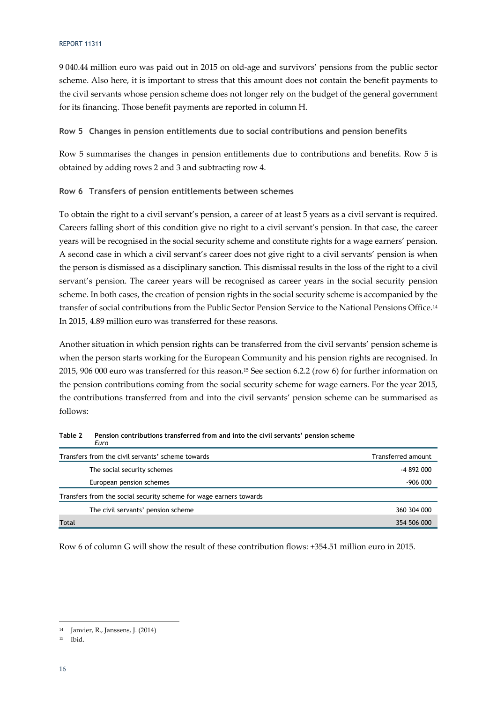#### REPORT 11311

9 040.44 million euro was paid out in 2015 on old-age and survivors' pensions from the public sector scheme. Also here, it is important to stress that this amount does not contain the benefit payments to the civil servants whose pension scheme does not longer rely on the budget of the general government for its financing. Those benefit payments are reported in column H.

**Row 5 Changes in pension entitlements due to social contributions and pension benefits** 

Row 5 summarises the changes in pension entitlements due to contributions and benefits. Row 5 is obtained by adding rows 2 and 3 and subtracting row 4.

### **Row 6 Transfers of pension entitlements between schemes**

To obtain the right to a civil servant's pension, a career of at least 5 years as a civil servant is required. Careers falling short of this condition give no right to a civil servant's pension. In that case, the career years will be recognised in the social security scheme and constitute rights for a wage earners' pension. A second case in which a civil servant's career does not give right to a civil servants' pension is when the person is dismissed as a disciplinary sanction. This dismissal results in the loss of the right to a civil servant's pension. The career years will be recognised as career years in the social security pension scheme. In both cases, the creation of pension rights in the social security scheme is accompanied by the transfer of social contributions from the Public Sector Pension Service to the National Pensions Office.14 In 2015, 4.89 million euro was transferred for these reasons.

Another situation in which pension rights can be transferred from the civil servants' pension scheme is when the person starts working for the European Community and his pension rights are recognised. In 2015, 906 000 euro was transferred for this reason.15 See section 6.2.2 (row 6) for further information on the pension contributions coming from the social security scheme for wage earners. For the year 2015, the contributions transferred from and into the civil servants' pension scheme can be summarised as follows:

| Lui v                                                              |                    |
|--------------------------------------------------------------------|--------------------|
| Transfers from the civil servants' scheme towards                  | Transferred amount |
| The social security schemes                                        | $-4892000$         |
| European pension schemes                                           | $-906000$          |
| Transfers from the social security scheme for wage earners towards |                    |
| The civil servants' pension scheme                                 | 360 304 000        |
| Total                                                              | 354 506 000        |

**Table 2 Pension contributions transferred from and into the civil servants' pension scheme**  *Euro* 

Row 6 of column G will show the result of these contribution flows: +354.51 million euro in 2015.

<sup>14</sup> Janvier, R., Janssens, J. (2014)

<sup>15</sup> Ibid.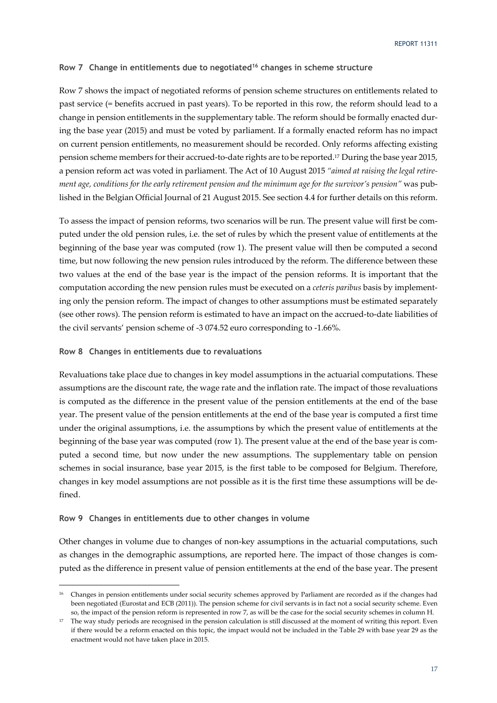### **Row 7 Change in entitlements due to negotiated16 changes in scheme structure**

Row 7 shows the impact of negotiated reforms of pension scheme structures on entitlements related to past service (= benefits accrued in past years). To be reported in this row, the reform should lead to a change in pension entitlements in the supplementary table. The reform should be formally enacted during the base year (2015) and must be voted by parliament. If a formally enacted reform has no impact on current pension entitlements, no measurement should be recorded. Only reforms affecting existing pension scheme members for their accrued-to-date rights are to be reported.17 During the base year 2015, a pension reform act was voted in parliament. The Act of 10 August 2015 *"aimed at raising the legal retirement age, conditions for the early retirement pension and the minimum age for the survivor's pension"* was published in the Belgian Official Journal of 21 August 2015. See section 4.4 for further details on this reform.

To assess the impact of pension reforms, two scenarios will be run. The present value will first be computed under the old pension rules, i.e. the set of rules by which the present value of entitlements at the beginning of the base year was computed (row 1). The present value will then be computed a second time, but now following the new pension rules introduced by the reform. The difference between these two values at the end of the base year is the impact of the pension reforms. It is important that the computation according the new pension rules must be executed on a *ceteris paribus* basis by implementing only the pension reform. The impact of changes to other assumptions must be estimated separately (see other rows). The pension reform is estimated to have an impact on the accrued-to-date liabilities of the civil servants' pension scheme of -3 074.52 euro corresponding to -1.66%.

### **Row 8 Changes in entitlements due to revaluations**

Revaluations take place due to changes in key model assumptions in the actuarial computations. These assumptions are the discount rate, the wage rate and the inflation rate. The impact of those revaluations is computed as the difference in the present value of the pension entitlements at the end of the base year. The present value of the pension entitlements at the end of the base year is computed a first time under the original assumptions, i.e. the assumptions by which the present value of entitlements at the beginning of the base year was computed (row 1). The present value at the end of the base year is computed a second time, but now under the new assumptions. The supplementary table on pension schemes in social insurance, base year 2015, is the first table to be composed for Belgium. Therefore, changes in key model assumptions are not possible as it is the first time these assumptions will be defined.

### **Row 9 Changes in entitlements due to other changes in volume**

-

Other changes in volume due to changes of non-key assumptions in the actuarial computations, such as changes in the demographic assumptions, are reported here. The impact of those changes is computed as the difference in present value of pension entitlements at the end of the base year. The present

<sup>&</sup>lt;sup>16</sup> Changes in pension entitlements under social security schemes approved by Parliament are recorded as if the changes had been negotiated (Eurostat and ECB (2011)). The pension scheme for civil servants is in fact not a social security scheme. Even so, the impact of the pension reform is represented in row 7, as will be the case for the social security schemes in column H.

<sup>&</sup>lt;sup>17</sup> The way study periods are recognised in the pension calculation is still discussed at the moment of writing this report. Even if there would be a reform enacted on this topic, the impact would not be included in the Table 29 with base year 29 as the enactment would not have taken place in 2015.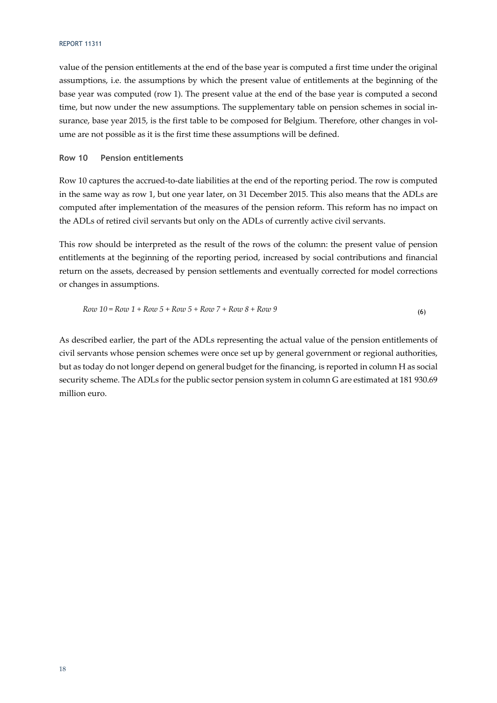### REPORT 11311

value of the pension entitlements at the end of the base year is computed a first time under the original assumptions, i.e. the assumptions by which the present value of entitlements at the beginning of the base year was computed (row 1). The present value at the end of the base year is computed a second time, but now under the new assumptions. The supplementary table on pension schemes in social insurance, base year 2015, is the first table to be composed for Belgium. Therefore, other changes in volume are not possible as it is the first time these assumptions will be defined.

### **Row 10 Pension entitlements**

Row 10 captures the accrued-to-date liabilities at the end of the reporting period. The row is computed in the same way as row 1, but one year later, on 31 December 2015. This also means that the ADLs are computed after implementation of the measures of the pension reform. This reform has no impact on the ADLs of retired civil servants but only on the ADLs of currently active civil servants.

This row should be interpreted as the result of the rows of the column: the present value of pension entitlements at the beginning of the reporting period, increased by social contributions and financial return on the assets, decreased by pension settlements and eventually corrected for model corrections or changes in assumptions.

$$
Row\ 10 = Row\ 1 + Row\ 5 + Row\ 5 + Row\ 7 + Row\ 8 + Row\ 9\tag{6}
$$

As described earlier, the part of the ADLs representing the actual value of the pension entitlements of civil servants whose pension schemes were once set up by general government or regional authorities, but as today do not longer depend on general budget for the financing, is reported in column H as social security scheme. The ADLs for the public sector pension system in column G are estimated at 181 930.69 million euro.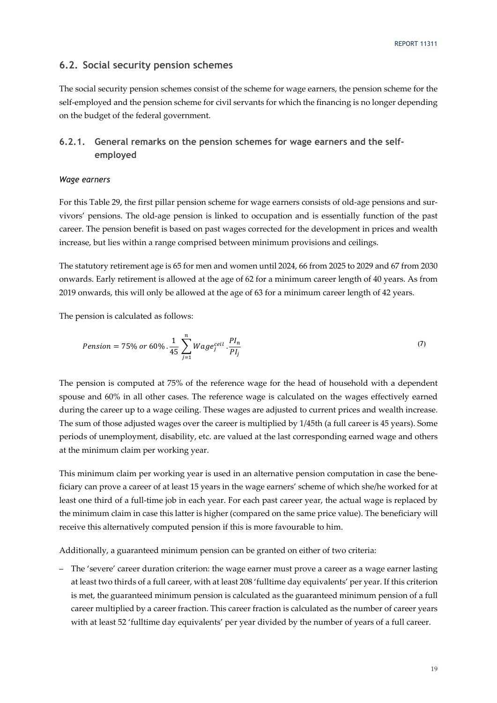### **6.2. Social security pension schemes**

The social security pension schemes consist of the scheme for wage earners, the pension scheme for the self-employed and the pension scheme for civil servants for which the financing is no longer depending on the budget of the federal government.

# **6.2.1. General remarks on the pension schemes for wage earners and the selfemployed**

#### *Wage earners*

For this Table 29, the first pillar pension scheme for wage earners consists of old-age pensions and survivors' pensions. The old-age pension is linked to occupation and is essentially function of the past career. The pension benefit is based on past wages corrected for the development in prices and wealth increase, but lies within a range comprised between minimum provisions and ceilings.

The statutory retirement age is 65 for men and women until 2024, 66 from 2025 to 2029 and 67 from 2030 onwards. Early retirement is allowed at the age of 62 for a minimum career length of 40 years. As from 2019 onwards, this will only be allowed at the age of 63 for a minimum career length of 42 years.

The pension is calculated as follows:

$$
Pension = 75\% \ or \ 60\% \cdot \frac{1}{45} \sum_{j=1}^{n} Wage_j^{ceil} \cdot \frac{PI_n}{PI_j}
$$
\n<sup>(7)</sup>

The pension is computed at 75% of the reference wage for the head of household with a dependent spouse and 60% in all other cases. The reference wage is calculated on the wages effectively earned during the career up to a wage ceiling. These wages are adjusted to current prices and wealth increase. The sum of those adjusted wages over the career is multiplied by 1/45th (a full career is 45 years). Some periods of unemployment, disability, etc. are valued at the last corresponding earned wage and others at the minimum claim per working year.

This minimum claim per working year is used in an alternative pension computation in case the beneficiary can prove a career of at least 15 years in the wage earners' scheme of which she/he worked for at least one third of a full-time job in each year. For each past career year, the actual wage is replaced by the minimum claim in case this latter is higher (compared on the same price value). The beneficiary will receive this alternatively computed pension if this is more favourable to him.

Additionally, a guaranteed minimum pension can be granted on either of two criteria:

– The 'severe' career duration criterion: the wage earner must prove a career as a wage earner lasting at least two thirds of a full career, with at least 208 'fulltime day equivalents' per year. If this criterion is met, the guaranteed minimum pension is calculated as the guaranteed minimum pension of a full career multiplied by a career fraction. This career fraction is calculated as the number of career years with at least 52 'fulltime day equivalents' per year divided by the number of years of a full career.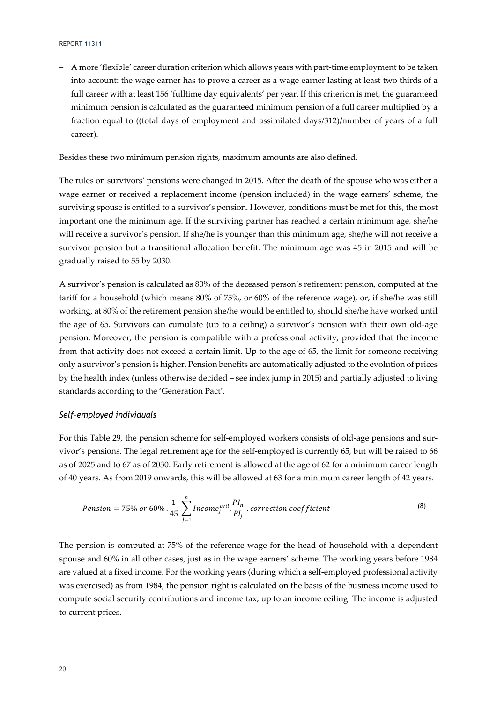– A more 'flexible' career duration criterion which allows years with part-time employment to be taken into account: the wage earner has to prove a career as a wage earner lasting at least two thirds of a full career with at least 156 'fulltime day equivalents' per year. If this criterion is met, the guaranteed minimum pension is calculated as the guaranteed minimum pension of a full career multiplied by a fraction equal to ((total days of employment and assimilated days/312)/number of years of a full career).

Besides these two minimum pension rights, maximum amounts are also defined.

The rules on survivors' pensions were changed in 2015. After the death of the spouse who was either a wage earner or received a replacement income (pension included) in the wage earners' scheme, the surviving spouse is entitled to a survivor's pension. However, conditions must be met for this, the most important one the minimum age. If the surviving partner has reached a certain minimum age, she/he will receive a survivor's pension. If she/he is younger than this minimum age, she/he will not receive a survivor pension but a transitional allocation benefit. The minimum age was 45 in 2015 and will be gradually raised to 55 by 2030.

A survivor's pension is calculated as 80% of the deceased person's retirement pension, computed at the tariff for a household (which means 80% of 75%, or 60% of the reference wage), or, if she/he was still working, at 80% of the retirement pension she/he would be entitled to, should she/he have worked until the age of 65. Survivors can cumulate (up to a ceiling) a survivor's pension with their own old-age pension. Moreover, the pension is compatible with a professional activity, provided that the income from that activity does not exceed a certain limit. Up to the age of 65, the limit for someone receiving only a survivor's pension is higher. Pension benefits are automatically adjusted to the evolution of prices by the health index (unless otherwise decided – see index jump in 2015) and partially adjusted to living standards according to the 'Generation Pact'.

### *Self-employed individuals*

For this Table 29, the pension scheme for self-employed workers consists of old-age pensions and survivor's pensions. The legal retirement age for the self-employed is currently 65, but will be raised to 66 as of 2025 and to 67 as of 2030. Early retirement is allowed at the age of 62 for a minimum career length of 40 years. As from 2019 onwards, this will be allowed at 63 for a minimum career length of 42 years.

$$
Pension = 75\% \text{ or } 60\% \cdot \frac{1}{45} \sum_{j=1}^{n} Income_j^{ceil} \cdot \frac{PI_n}{PI_j} \cdot correction \text{ coefficient}
$$
\n
$$
\tag{8}
$$

The pension is computed at 75% of the reference wage for the head of household with a dependent spouse and 60% in all other cases, just as in the wage earners' scheme. The working years before 1984 are valued at a fixed income. For the working years (during which a self-employed professional activity was exercised) as from 1984, the pension right is calculated on the basis of the business income used to compute social security contributions and income tax, up to an income ceiling. The income is adjusted to current prices.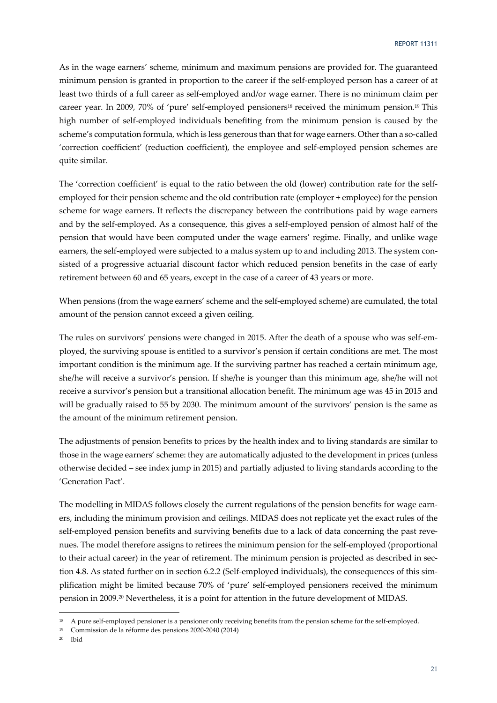As in the wage earners' scheme, minimum and maximum pensions are provided for. The guaranteed minimum pension is granted in proportion to the career if the self-employed person has a career of at least two thirds of a full career as self-employed and/or wage earner. There is no minimum claim per career year. In 2009, 70% of 'pure' self-employed pensioners18 received the minimum pension.19 This high number of self-employed individuals benefiting from the minimum pension is caused by the scheme's computation formula, which is less generous than that for wage earners. Other than a so-called 'correction coefficient' (reduction coefficient), the employee and self-employed pension schemes are quite similar.

The 'correction coefficient' is equal to the ratio between the old (lower) contribution rate for the selfemployed for their pension scheme and the old contribution rate (employer + employee) for the pension scheme for wage earners. It reflects the discrepancy between the contributions paid by wage earners and by the self-employed. As a consequence, this gives a self-employed pension of almost half of the pension that would have been computed under the wage earners' regime. Finally, and unlike wage earners, the self-employed were subjected to a malus system up to and including 2013. The system consisted of a progressive actuarial discount factor which reduced pension benefits in the case of early retirement between 60 and 65 years, except in the case of a career of 43 years or more.

When pensions (from the wage earners' scheme and the self-employed scheme) are cumulated, the total amount of the pension cannot exceed a given ceiling.

The rules on survivors' pensions were changed in 2015. After the death of a spouse who was self-employed, the surviving spouse is entitled to a survivor's pension if certain conditions are met. The most important condition is the minimum age. If the surviving partner has reached a certain minimum age, she/he will receive a survivor's pension. If she/he is younger than this minimum age, she/he will not receive a survivor's pension but a transitional allocation benefit. The minimum age was 45 in 2015 and will be gradually raised to 55 by 2030. The minimum amount of the survivors' pension is the same as the amount of the minimum retirement pension.

The adjustments of pension benefits to prices by the health index and to living standards are similar to those in the wage earners' scheme: they are automatically adjusted to the development in prices (unless otherwise decided – see index jump in 2015) and partially adjusted to living standards according to the 'Generation Pact'.

The modelling in MIDAS follows closely the current regulations of the pension benefits for wage earners, including the minimum provision and ceilings. MIDAS does not replicate yet the exact rules of the self-employed pension benefits and surviving benefits due to a lack of data concerning the past revenues. The model therefore assigns to retirees the minimum pension for the self-employed (proportional to their actual career) in the year of retirement. The minimum pension is projected as described in section 4.8. As stated further on in section 6.2.2 (Self-employed individuals), the consequences of this simplification might be limited because 70% of 'pure' self-employed pensioners received the minimum pension in 2009.20 Nevertheless, it is a point for attention in the future development of MIDAS.

<sup>&</sup>lt;sup>18</sup> A pure self-employed pensioner is a pensioner only receiving benefits from the pension scheme for the self-employed.

<sup>19</sup> Commission de la réforme des pensions 2020-2040 (2014)

<sup>20</sup> Ibid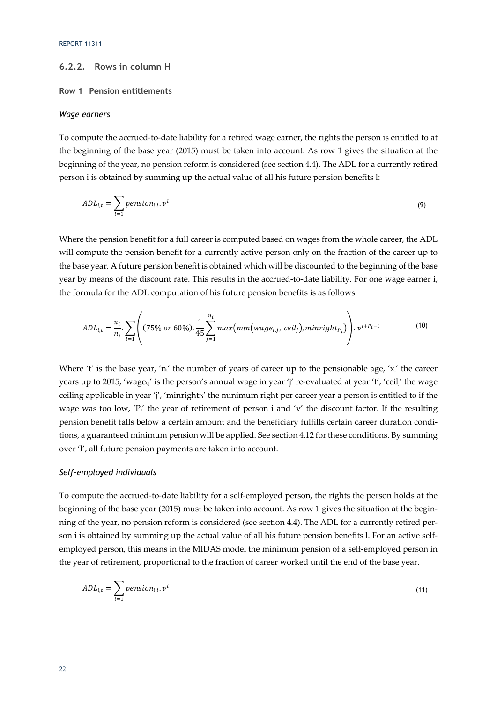# **6.2.2. Rows in column H**

### **Row 1 Pension entitlements**

#### *Wage earners*

To compute the accrued-to-date liability for a retired wage earner, the rights the person is entitled to at the beginning of the base year (2015) must be taken into account. As row 1 gives the situation at the beginning of the year, no pension reform is considered (see section 4.4). The ADL for a currently retired person i is obtained by summing up the actual value of all his future pension benefits l:

$$
ADL_{i,t} = \sum_{l=1} pension_{i,l}.v^l
$$
\n(9)

Where the pension benefit for a full career is computed based on wages from the whole career, the ADL will compute the pension benefit for a currently active person only on the fraction of the career up to the base year. A future pension benefit is obtained which will be discounted to the beginning of the base year by means of the discount rate. This results in the accrued-to-date liability. For one wage earner i, the formula for the ADL computation of his future pension benefits is as follows:

$$
ADL_{i,t} = \frac{x_i}{n_i} \cdot \sum_{l=1}^{\infty} \left( (75\% \text{ or } 60\%). \frac{1}{45} \sum_{j=1}^{n_i} \max(\min(wage_{i,j},\,ceil, \,ceil), \,minright_{P_i}) \right) \cdot v^{l+P_i-t} \tag{10}
$$

Where 't' is the base year, 'ni' the number of years of career up to the pensionable age, 'xi' the career years up to 2015, 'wagei,' is the person's annual wage in year 'j' re-evaluated at year 't', 'ceil,' the wage ceiling applicable in year 'j', 'minrightri' the minimum right per career year a person is entitled to if the wage was too low, 'P<sub>i</sub>' the year of retirement of person i and 'v' the discount factor. If the resulting pension benefit falls below a certain amount and the beneficiary fulfills certain career duration conditions, a guaranteed minimum pension will be applied. See section 4.12 for these conditions. By summing over 'l', all future pension payments are taken into account.

### *Self-employed individuals*

To compute the accrued-to-date liability for a self-employed person, the rights the person holds at the beginning of the base year (2015) must be taken into account. As row 1 gives the situation at the beginning of the year, no pension reform is considered (see section 4.4). The ADL for a currently retired person i is obtained by summing up the actual value of all his future pension benefits l. For an active selfemployed person, this means in the MIDAS model the minimum pension of a self-employed person in the year of retirement, proportional to the fraction of career worked until the end of the base year.

$$
ADL_{i,t} = \sum_{l=1} pension_{i,l}.v^l
$$
\n(11)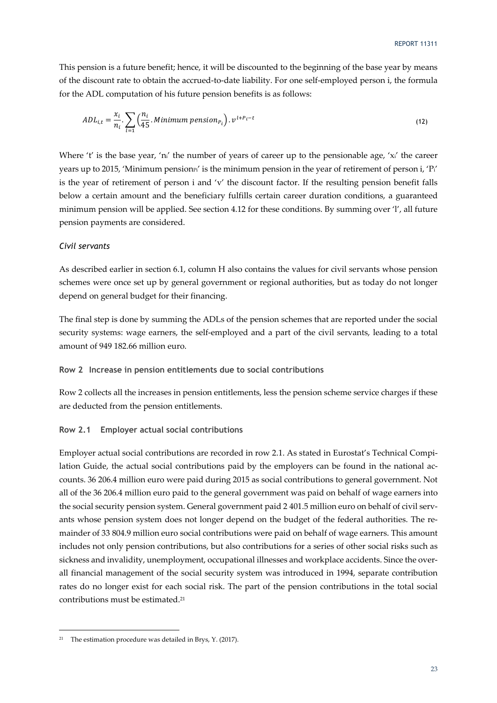This pension is a future benefit; hence, it will be discounted to the beginning of the base year by means of the discount rate to obtain the accrued-to-date liability. For one self-employed person i, the formula for the ADL computation of his future pension benefits is as follows:

$$
ADL_{i,t} = \frac{x_i}{n_i} \cdot \sum_{l=1}^{\infty} \left( \frac{n_i}{45} \cdot \text{Minimum pension}_{P_l} \right) \cdot v^{l+P_l-t}
$$
\n<sup>(12)</sup>

Where 't' is the base year, 'ni' the number of years of career up to the pensionable age, 'xi' the career years up to 2015, 'Minimum pension<sup>pi'</sup> is the minimum pension in the year of retirement of person i, 'P<sub>i</sub>' is the year of retirement of person i and 'v' the discount factor. If the resulting pension benefit falls below a certain amount and the beneficiary fulfills certain career duration conditions, a guaranteed minimum pension will be applied. See section 4.12 for these conditions. By summing over 'l', all future pension payments are considered.

### *Civil servants*

As described earlier in section 6.1, column H also contains the values for civil servants whose pension schemes were once set up by general government or regional authorities, but as today do not longer depend on general budget for their financing.

The final step is done by summing the ADLs of the pension schemes that are reported under the social security systems: wage earners, the self-employed and a part of the civil servants, leading to a total amount of 949 182.66 million euro.

### **Row 2 Increase in pension entitlements due to social contributions**

Row 2 collects all the increases in pension entitlements, less the pension scheme service charges if these are deducted from the pension entitlements.

#### **Row 2.1 Employer actual social contributions**

Employer actual social contributions are recorded in row 2.1. As stated in Eurostat's Technical Compilation Guide, the actual social contributions paid by the employers can be found in the national accounts. 36 206.4 million euro were paid during 2015 as social contributions to general government. Not all of the 36 206.4 million euro paid to the general government was paid on behalf of wage earners into the social security pension system. General government paid 2 401.5 million euro on behalf of civil servants whose pension system does not longer depend on the budget of the federal authorities. The remainder of 33 804.9 million euro social contributions were paid on behalf of wage earners. This amount includes not only pension contributions, but also contributions for a series of other social risks such as sickness and invalidity, unemployment, occupational illnesses and workplace accidents. Since the overall financial management of the social security system was introduced in 1994, separate contribution rates do no longer exist for each social risk. The part of the pension contributions in the total social contributions must be estimated.21

<sup>21</sup> The estimation procedure was detailed in Brys, Y. (2017).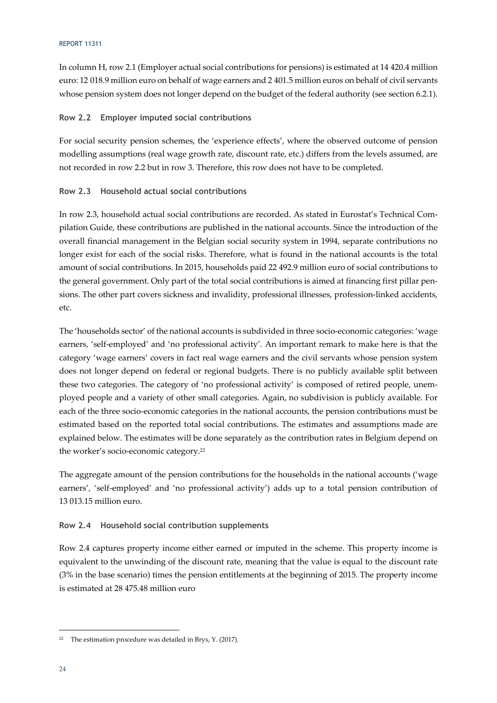#### REPORT 11311

In column H, row 2.1 (Employer actual social contributions for pensions) is estimated at 14 420.4 million euro: 12 018.9 million euro on behalf of wage earners and 2 401.5 million euros on behalf of civil servants whose pension system does not longer depend on the budget of the federal authority (see section 6.2.1).

### **Row 2.2 Employer imputed social contributions**

For social security pension schemes, the 'experience effects', where the observed outcome of pension modelling assumptions (real wage growth rate, discount rate, etc.) differs from the levels assumed, are not recorded in row 2.2 but in row 3. Therefore, this row does not have to be completed.

### **Row 2.3 Household actual social contributions**

In row 2.3, household actual social contributions are recorded. As stated in Eurostat's Technical Compilation Guide, these contributions are published in the national accounts. Since the introduction of the overall financial management in the Belgian social security system in 1994, separate contributions no longer exist for each of the social risks. Therefore, what is found in the national accounts is the total amount of social contributions. In 2015, households paid 22 492.9 million euro of social contributions to the general government. Only part of the total social contributions is aimed at financing first pillar pensions. The other part covers sickness and invalidity, professional illnesses, profession-linked accidents, etc.

The 'households sector' of the national accounts is subdivided in three socio-economic categories: 'wage earners, 'self-employed' and 'no professional activity'. An important remark to make here is that the category 'wage earners' covers in fact real wage earners and the civil servants whose pension system does not longer depend on federal or regional budgets. There is no publicly available split between these two categories. The category of 'no professional activity' is composed of retired people, unemployed people and a variety of other small categories. Again, no subdivision is publicly available. For each of the three socio-economic categories in the national accounts, the pension contributions must be estimated based on the reported total social contributions. The estimates and assumptions made are explained below. The estimates will be done separately as the contribution rates in Belgium depend on the worker's socio-economic category.22

The aggregate amount of the pension contributions for the households in the national accounts ('wage earners', 'self-employed' and 'no professional activity') adds up to a total pension contribution of 13 013.15 million euro.

### **Row 2.4 Household social contribution supplements**

Row 2.4 captures property income either earned or imputed in the scheme. This property income is equivalent to the unwinding of the discount rate, meaning that the value is equal to the discount rate (3% in the base scenario) times the pension entitlements at the beginning of 2015. The property income is estimated at 28 475.48 million euro

<sup>22</sup> The estimation procedure was detailed in Brys, Y. (2017).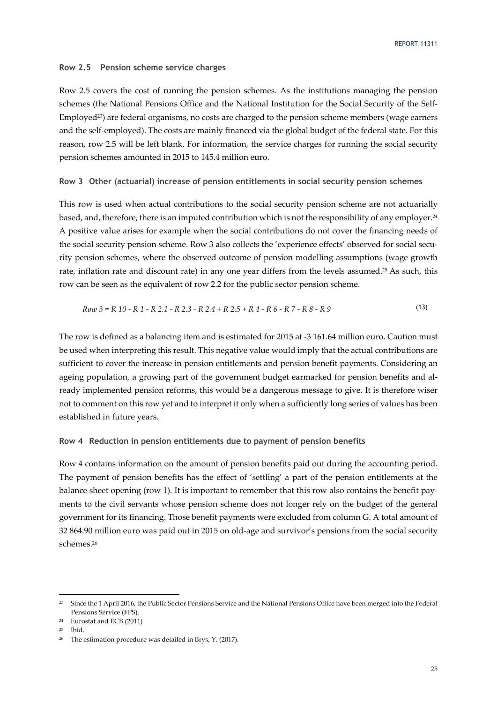### **Row 2.5 Pension scheme service charges**

Row 2.5 covers the cost of running the pension schemes. As the institutions managing the pension schemes (the National Pensions Office and the National Institution for the Social Security of the Self-Employed<sup>23</sup>) are federal organisms, no costs are charged to the pension scheme members (wage earners and the self-employed). The costs are mainly financed via the global budget of the federal state. For this reason, row 2.5 will be left blank. For information, the service charges for running the social security pension schemes amounted in 2015 to 145.4 million euro.

### **Row 3 Other (actuarial) increase of pension entitlements in social security pension schemes**

This row is used when actual contributions to the social security pension scheme are not actuarially based, and, therefore, there is an imputed contribution which is not the responsibility of any employer.24 A positive value arises for example when the social contributions do not cover the financing needs of the social security pension scheme. Row 3 also collects the 'experience effects' observed for social security pension schemes, where the observed outcome of pension modelling assumptions (wage growth rate, inflation rate and discount rate) in any one year differs from the levels assumed.<sup>25</sup> As such, this row can be seen as the equivalent of row 2.2 for the public sector pension scheme.

$$
Row\ 3 = R\ 10 - R\ 1 - R\ 2.1 - R\ 2.3 - R\ 2.4 + R\ 2.5 + R\ 4 - R\ 6 - R\ 7 - R\ 8 - R\ 9\tag{13}
$$

The row is defined as a balancing item and is estimated for 2015 at -3 161.64 million euro. Caution must be used when interpreting this result. This negative value would imply that the actual contributions are sufficient to cover the increase in pension entitlements and pension benefit payments. Considering an ageing population, a growing part of the government budget earmarked for pension benefits and already implemented pension reforms, this would be a dangerous message to give. It is therefore wiser not to comment on this row yet and to interpret it only when a sufficiently long series of values has been established in future years.

#### **Row 4 Reduction in pension entitlements due to payment of pension benefits**

Row 4 contains information on the amount of pension benefits paid out during the accounting period. The payment of pension benefits has the effect of 'settling' a part of the pension entitlements at the balance sheet opening (row 1). It is important to remember that this row also contains the benefit payments to the civil servants whose pension scheme does not longer rely on the budget of the general government for its financing. Those benefit payments were excluded from column G. A total amount of 32 864.90 million euro was paid out in 2015 on old-age and survivor's pensions from the social security schemes.26

25 Ibid.

<sup>&</sup>lt;sup>23</sup> Since the 1 April 2016, the Public Sector Pensions Service and the National Pensions Office have been merged into the Federal Pensions Service (FPS).

<sup>24</sup> Eurostat and ECB (2011)

<sup>26</sup> The estimation procedure was detailed in Brys, Y. (2017).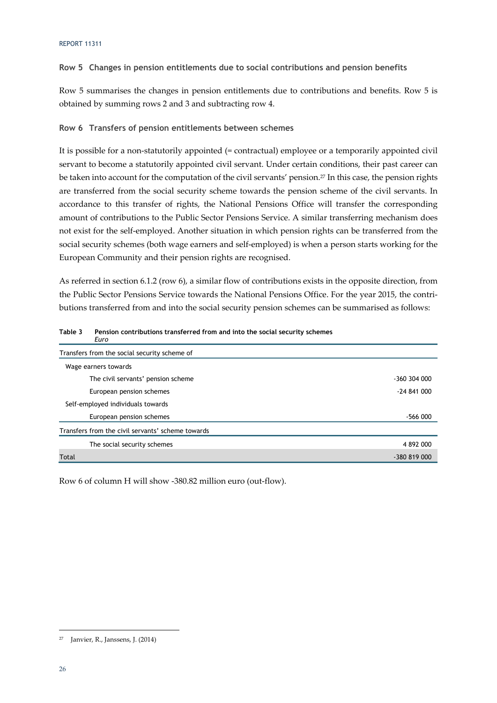### **Row 5 Changes in pension entitlements due to social contributions and pension benefits**

Row 5 summarises the changes in pension entitlements due to contributions and benefits. Row 5 is obtained by summing rows 2 and 3 and subtracting row 4.

### **Row 6 Transfers of pension entitlements between schemes**

It is possible for a non-statutorily appointed (= contractual) employee or a temporarily appointed civil servant to become a statutorily appointed civil servant. Under certain conditions, their past career can be taken into account for the computation of the civil servants' pension.<sup>27</sup> In this case, the pension rights are transferred from the social security scheme towards the pension scheme of the civil servants. In accordance to this transfer of rights, the National Pensions Office will transfer the corresponding amount of contributions to the Public Sector Pensions Service. A similar transferring mechanism does not exist for the self-employed. Another situation in which pension rights can be transferred from the social security schemes (both wage earners and self-employed) is when a person starts working for the European Community and their pension rights are recognised.

As referred in section 6.1.2 (row 6), a similar flow of contributions exists in the opposite direction, from the Public Sector Pensions Service towards the National Pensions Office. For the year 2015, the contributions transferred from and into the social security pension schemes can be summarised as follows:

| Euro                                              |              |
|---------------------------------------------------|--------------|
| Transfers from the social security scheme of      |              |
| Wage earners towards                              |              |
| The civil servants' pension scheme                | -360 304 000 |
| European pension schemes                          | $-24841000$  |
| Self-employed individuals towards                 |              |
| European pension schemes                          | -566 000     |
| Transfers from the civil servants' scheme towards |              |
| The social security schemes                       | 4 892 000    |
| Total                                             | -380 819 000 |

**Table 3 Pension contributions transferred from and into the social security schemes** 

Row 6 of column H will show -380.82 million euro (out-flow).

<sup>-</sup>27 Janvier, R., Janssens, J. (2014)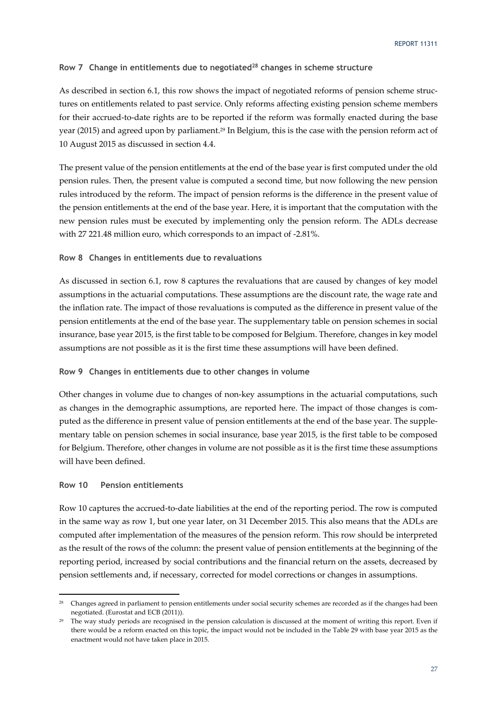### Row 7 Change in entitlements due to negotiated<sup>28</sup> changes in scheme structure

As described in section 6.1, this row shows the impact of negotiated reforms of pension scheme structures on entitlements related to past service. Only reforms affecting existing pension scheme members for their accrued-to-date rights are to be reported if the reform was formally enacted during the base year (2015) and agreed upon by parliament.29 In Belgium, this is the case with the pension reform act of 10 August 2015 as discussed in section 4.4.

The present value of the pension entitlements at the end of the base year is first computed under the old pension rules. Then, the present value is computed a second time, but now following the new pension rules introduced by the reform. The impact of pension reforms is the difference in the present value of the pension entitlements at the end of the base year. Here, it is important that the computation with the new pension rules must be executed by implementing only the pension reform. The ADLs decrease with 27 221.48 million euro, which corresponds to an impact of -2.81%.

#### **Row 8 Changes in entitlements due to revaluations**

As discussed in section 6.1, row 8 captures the revaluations that are caused by changes of key model assumptions in the actuarial computations. These assumptions are the discount rate, the wage rate and the inflation rate. The impact of those revaluations is computed as the difference in present value of the pension entitlements at the end of the base year. The supplementary table on pension schemes in social insurance, base year 2015, is the first table to be composed for Belgium. Therefore, changes in key model assumptions are not possible as it is the first time these assumptions will have been defined.

### **Row 9 Changes in entitlements due to other changes in volume**

Other changes in volume due to changes of non-key assumptions in the actuarial computations, such as changes in the demographic assumptions, are reported here. The impact of those changes is computed as the difference in present value of pension entitlements at the end of the base year. The supplementary table on pension schemes in social insurance, base year 2015, is the first table to be composed for Belgium. Therefore, other changes in volume are not possible as it is the first time these assumptions will have been defined.

### **Row 10 Pension entitlements**

-

Row 10 captures the accrued-to-date liabilities at the end of the reporting period. The row is computed in the same way as row 1, but one year later, on 31 December 2015. This also means that the ADLs are computed after implementation of the measures of the pension reform. This row should be interpreted as the result of the rows of the column: the present value of pension entitlements at the beginning of the reporting period, increased by social contributions and the financial return on the assets, decreased by pension settlements and, if necessary, corrected for model corrections or changes in assumptions.

<sup>&</sup>lt;sup>28</sup> Changes agreed in parliament to pension entitlements under social security schemes are recorded as if the changes had been negotiated. (Eurostat and ECB (2011)).

 $29$  The way study periods are recognised in the pension calculation is discussed at the moment of writing this report. Even if there would be a reform enacted on this topic, the impact would not be included in the Table 29 with base year 2015 as the enactment would not have taken place in 2015.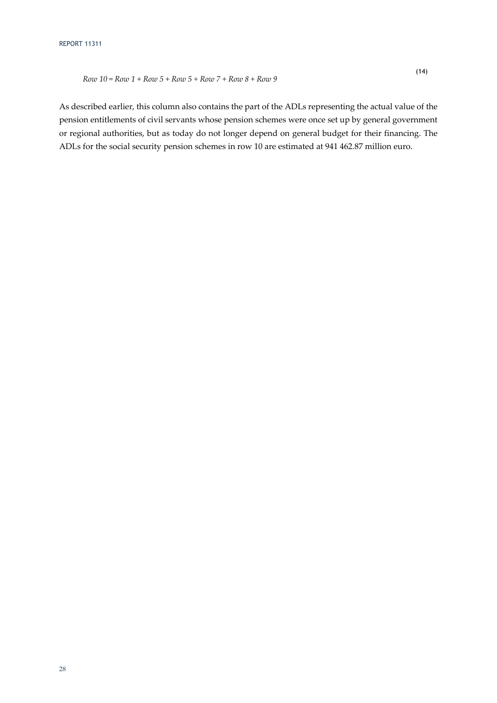As described earlier, this column also contains the part of the ADLs representing the actual value of the pension entitlements of civil servants whose pension schemes were once set up by general government or regional authorities, but as today do not longer depend on general budget for their financing. The ADLs for the social security pension schemes in row 10 are estimated at 941 462.87 million euro.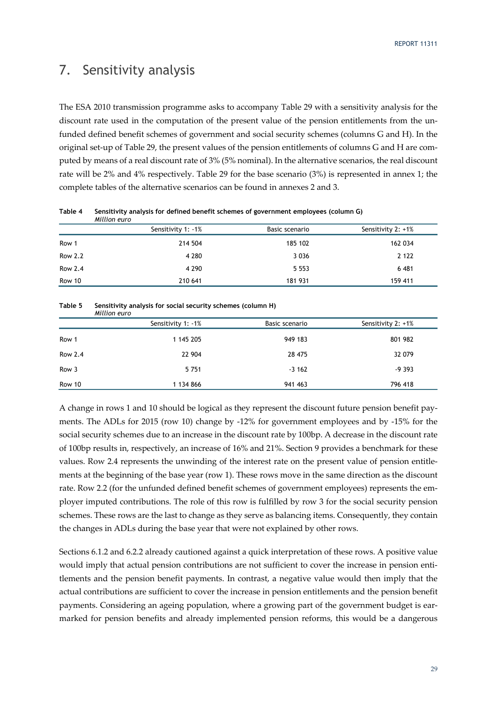# 7. Sensitivity analysis

The ESA 2010 transmission programme asks to accompany Table 29 with a sensitivity analysis for the discount rate used in the computation of the present value of the pension entitlements from the unfunded defined benefit schemes of government and social security schemes (columns G and H). In the original set-up of Table 29, the present values of the pension entitlements of columns G and H are computed by means of a real discount rate of 3% (5% nominal). In the alternative scenarios, the real discount rate will be 2% and 4% respectively. Table 29 for the base scenario (3%) is represented in annex 1; the complete tables of the alternative scenarios can be found in annexes 2 and 3.

|         | Million euro       |                |                    |
|---------|--------------------|----------------|--------------------|
|         | Sensitivity 1: -1% | Basic scenario | Sensitivity 2: +1% |
| Row 1   | 214 504            | 185 102        | 162 034            |
| Row 2.2 | 4 2 8 0            | 3 0 3 6        | 2 1 2 2            |
| Row 2.4 | 4 2 9 0            | 5 5 5 3        | 6 481              |
| Row 10  | 210 641            | 181 931        | 159 411            |

**Table 4 Sensitivity analysis for defined benefit schemes of government employees (column G)** 

#### **Table 5 Sensitivity analysis for social security schemes (column H)**  *Million euro*

|         | Sensitivity 1: 1% | Basic scenario | Sensitivity 2: +1% |
|---------|-------------------|----------------|--------------------|
| Row 1   | 1 145 205         | 949 183        | 801 982            |
| Row 2.4 | 22 904            | 28 475         | 32 079             |
| Row 3   | 5751              | $-3162$        | $-9393$            |
| Row 10  | 1 134 866         | 941 463        | 796 418            |

A change in rows 1 and 10 should be logical as they represent the discount future pension benefit payments. The ADLs for 2015 (row 10) change by -12% for government employees and by -15% for the social security schemes due to an increase in the discount rate by 100bp. A decrease in the discount rate of 100bp results in, respectively, an increase of 16% and 21%. Section 9 provides a benchmark for these values. Row 2.4 represents the unwinding of the interest rate on the present value of pension entitlements at the beginning of the base year (row 1). These rows move in the same direction as the discount rate. Row 2.2 (for the unfunded defined benefit schemes of government employees) represents the employer imputed contributions. The role of this row is fulfilled by row 3 for the social security pension schemes. These rows are the last to change as they serve as balancing items. Consequently, they contain the changes in ADLs during the base year that were not explained by other rows.

Sections 6.1.2 and 6.2.2 already cautioned against a quick interpretation of these rows. A positive value would imply that actual pension contributions are not sufficient to cover the increase in pension entitlements and the pension benefit payments. In contrast, a negative value would then imply that the actual contributions are sufficient to cover the increase in pension entitlements and the pension benefit payments. Considering an ageing population, where a growing part of the government budget is earmarked for pension benefits and already implemented pension reforms, this would be a dangerous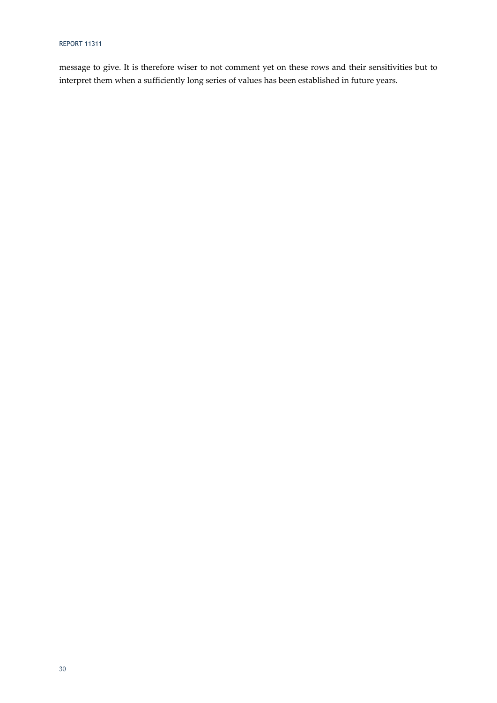## REPORT 11311

message to give. It is therefore wiser to not comment yet on these rows and their sensitivities but to interpret them when a sufficiently long series of values has been established in future years.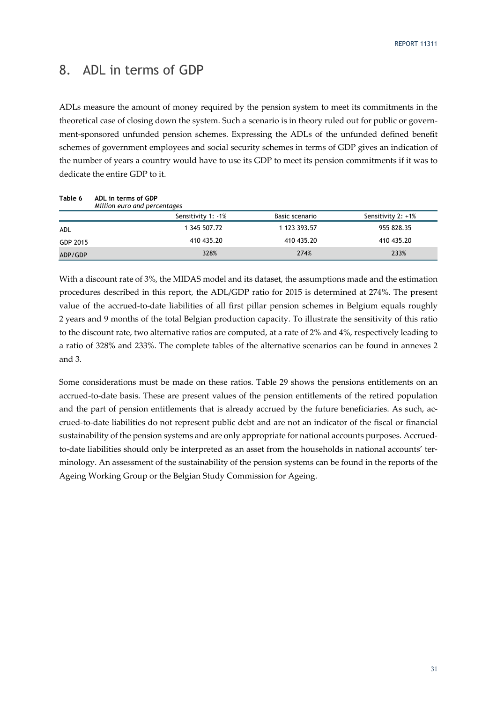# 8. ADL in terms of GDP

ADLs measure the amount of money required by the pension system to meet its commitments in the theoretical case of closing down the system. Such a scenario is in theory ruled out for public or government-sponsored unfunded pension schemes. Expressing the ADLs of the unfunded defined benefit schemes of government employees and social security schemes in terms of GDP gives an indication of the number of years a country would have to use its GDP to meet its pension commitments if it was to dedicate the entire GDP to it.

| Table 6  | ADL in terms of GDP<br>Million euro and percentages |                |                    |
|----------|-----------------------------------------------------|----------------|--------------------|
|          | Sensitivity 1: -1%                                  | Basic scenario | Sensitivity 2: +1% |
| ADL      | 1 345 507.72                                        | 1 123 393.57   | 955 828.35         |
| GDP 2015 | 410 435.20                                          | 410 435.20     | 410 435.20         |
| ADP/GDP  | 328%                                                | 274%           | 233%               |

With a discount rate of 3%, the MIDAS model and its dataset, the assumptions made and the estimation procedures described in this report, the ADL/GDP ratio for 2015 is determined at 274%. The present value of the accrued-to-date liabilities of all first pillar pension schemes in Belgium equals roughly 2 years and 9 months of the total Belgian production capacity. To illustrate the sensitivity of this ratio to the discount rate, two alternative ratios are computed, at a rate of 2% and 4%, respectively leading to a ratio of 328% and 233%. The complete tables of the alternative scenarios can be found in annexes 2 and 3.

Some considerations must be made on these ratios. Table 29 shows the pensions entitlements on an accrued-to-date basis. These are present values of the pension entitlements of the retired population and the part of pension entitlements that is already accrued by the future beneficiaries. As such, accrued-to-date liabilities do not represent public debt and are not an indicator of the fiscal or financial sustainability of the pension systems and are only appropriate for national accounts purposes. Accruedto-date liabilities should only be interpreted as an asset from the households in national accounts' terminology. An assessment of the sustainability of the pension systems can be found in the reports of the Ageing Working Group or the Belgian Study Commission for Ageing.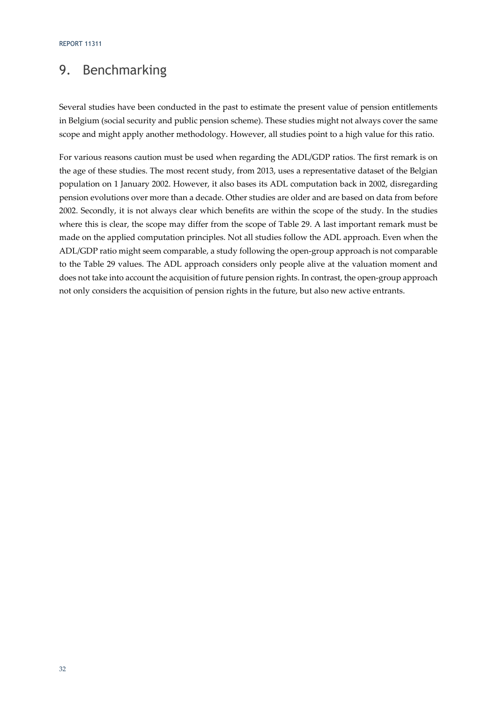# 9. Benchmarking

Several studies have been conducted in the past to estimate the present value of pension entitlements in Belgium (social security and public pension scheme). These studies might not always cover the same scope and might apply another methodology. However, all studies point to a high value for this ratio.

For various reasons caution must be used when regarding the ADL/GDP ratios. The first remark is on the age of these studies. The most recent study, from 2013, uses a representative dataset of the Belgian population on 1 January 2002. However, it also bases its ADL computation back in 2002, disregarding pension evolutions over more than a decade. Other studies are older and are based on data from before 2002. Secondly, it is not always clear which benefits are within the scope of the study. In the studies where this is clear, the scope may differ from the scope of Table 29. A last important remark must be made on the applied computation principles. Not all studies follow the ADL approach. Even when the ADL/GDP ratio might seem comparable, a study following the open-group approach is not comparable to the Table 29 values. The ADL approach considers only people alive at the valuation moment and does not take into account the acquisition of future pension rights. In contrast, the open-group approach not only considers the acquisition of pension rights in the future, but also new active entrants.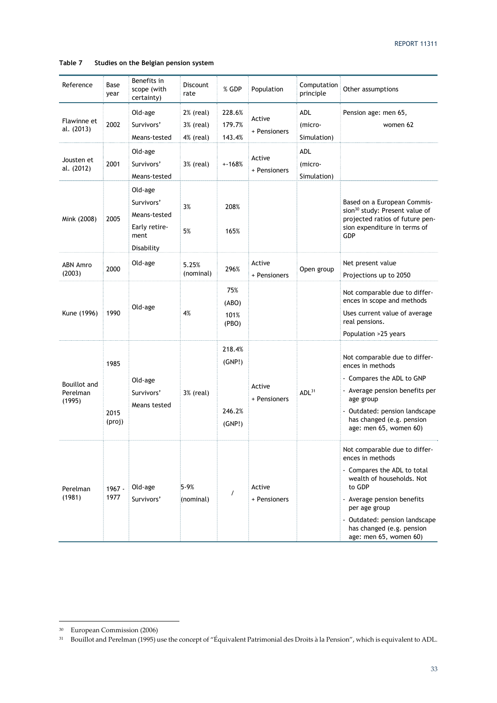### **Table 7 Studies on the Belgian pension system**

| Reference                                 | Base<br>year           | Benefits in<br>scope (with<br>certainty)                                     | Discount<br>rate                    | % GDP                                | Population             | Computation<br>principle      | Other assumptions                                                                                                                                                                                                                                              |
|-------------------------------------------|------------------------|------------------------------------------------------------------------------|-------------------------------------|--------------------------------------|------------------------|-------------------------------|----------------------------------------------------------------------------------------------------------------------------------------------------------------------------------------------------------------------------------------------------------------|
| Flawinne et<br>al. (2013)                 | 2002                   | Old-age<br>Survivors'<br>Means-tested                                        | 2% (real)<br>3% (real)<br>4% (real) | 228.6%<br>179.7%<br>143.4%           | Active<br>+ Pensioners | ADL<br>(micro-<br>Simulation) | Pension age: men 65,<br>women 62                                                                                                                                                                                                                               |
| Jousten et<br>al. (2012)                  | 2001                   | Old-age<br>Survivors'<br>Means-tested                                        | 3% (real)                           | $+168%$                              | Active<br>+ Pensioners | ADL<br>(micro-<br>Simulation) |                                                                                                                                                                                                                                                                |
| Mink (2008)                               | 2005                   | Old-age<br>Survivors'<br>Means-tested<br>Early retire-<br>ment<br>Disability | 3%<br>5%                            | 208%<br>165%                         |                        |                               | Based on a European Commis-<br>sion <sup>30</sup> study: Present value of<br>projected ratios of future pen-<br>sion expenditure in terms of<br>GDP                                                                                                            |
| ABN Amro<br>(2003)                        | 2000                   | Old-age                                                                      | 5.25%<br>(nominal)                  | 296%                                 | Active<br>+ Pensioners | Open group                    | Net present value<br>Projections up to 2050                                                                                                                                                                                                                    |
| Kune (1996)                               | 1990                   | Old-age                                                                      | 4%                                  | 75%<br>(ABO)<br>101%<br>(PBO)        |                        |                               | Not comparable due to differ-<br>ences in scope and methods<br>Uses current value of average<br>real pensions.<br>Population >25 years                                                                                                                         |
| <b>Bouillot</b> and<br>Perelman<br>(1995) | 1985<br>2015<br>(proj) | Old-age<br>Survivors'<br>Means tested                                        | 3% (real)                           | 218.4%<br>(GNP!)<br>246.2%<br>(GNP!) | Active<br>+ Pensioners | ADL <sup>31</sup>             | Not comparable due to differ-<br>ences in methods<br>- Compares the ADL to GNP<br>- Average pension benefits per<br>age group<br>- Outdated: pension landscape<br>has changed (e.g. pension<br>age: men 65, women 60)                                          |
| Perelman<br>(1981)                        | $1967 -$<br>1977       | Old-age<br>Survivors'                                                        | 5-9%<br>(nominal)                   | $\prime$                             | Active<br>+ Pensioners |                               | Not comparable due to differ-<br>ences in methods<br>- Compares the ADL to total<br>wealth of households. Not<br>to GDP<br>- Average pension benefits<br>per age group<br>- Outdated: pension landscape<br>has changed (e.g. pension<br>age: men 65, women 60) |

<sup>30</sup> European Commission (2006)

<sup>31</sup> Bouillot and Perelman (1995) use the concept of "Équivalent Patrimonial des Droits à la Pension", which is equivalent to ADL.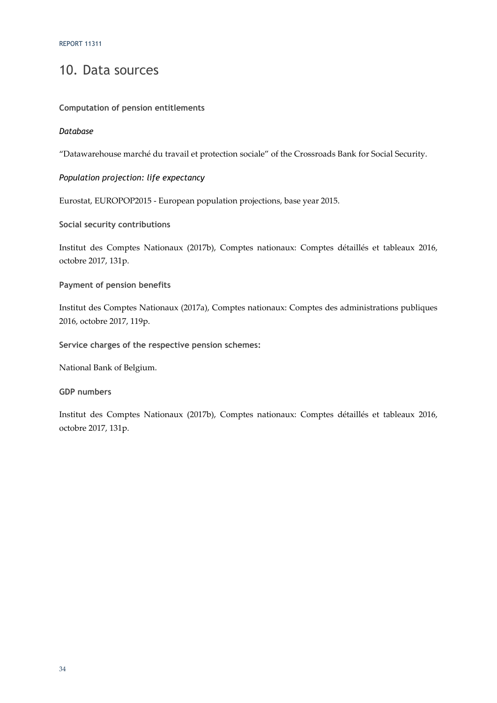# 10. Data sources

## **Computation of pension entitlements**

## *Database*

"Datawarehouse marché du travail et protection sociale" of the Crossroads Bank for Social Security.

# *Population projection: life expectancy*

Eurostat, EUROPOP2015 - European population projections, base year 2015.

# **Social security contributions**

Institut des Comptes Nationaux (2017b), Comptes nationaux: Comptes détaillés et tableaux 2016, octobre 2017, 131p.

## **Payment of pension benefits**

Institut des Comptes Nationaux (2017a), Comptes nationaux: Comptes des administrations publiques 2016, octobre 2017, 119p.

**Service charges of the respective pension schemes:** 

National Bank of Belgium.

### **GDP numbers**

Institut des Comptes Nationaux (2017b), Comptes nationaux: Comptes détaillés et tableaux 2016, octobre 2017, 131p.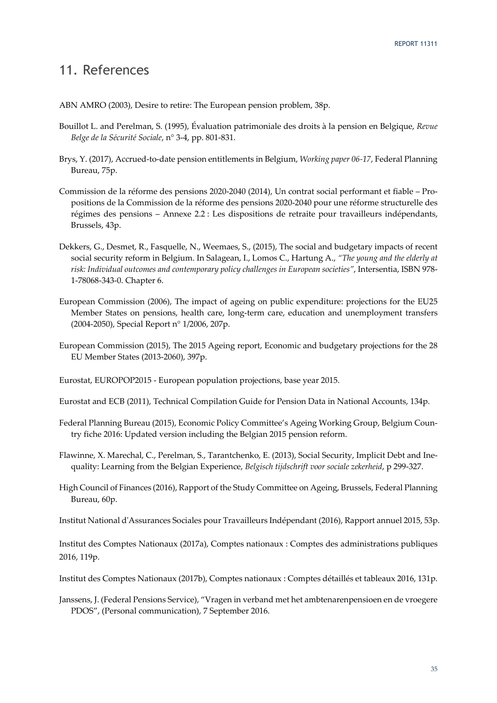# 11. References

ABN AMRO (2003), Desire to retire: The European pension problem, 38p.

- Bouillot L. and Perelman, S. (1995), Évaluation patrimoniale des droits à la pension en Belgique, *Revue Belge de la Sécurité Sociale*, n° 3-4, pp. 801-831.
- Brys, Y. (2017), Accrued-to-date pension entitlements in Belgium, *Working paper 06-17*, Federal Planning Bureau, 75p.
- Commission de la réforme des pensions 2020-2040 (2014), Un contrat social performant et fiable Propositions de la Commission de la réforme des pensions 2020-2040 pour une réforme structurelle des régimes des pensions – Annexe 2.2 : Les dispositions de retraite pour travailleurs indépendants, Brussels, 43p.
- Dekkers, G., Desmet, R., Fasquelle, N., Weemaes, S., (2015), The social and budgetary impacts of recent social security reform in Belgium. In Salagean, I., Lomos C., Hartung A., *"The young and the elderly at risk: Individual outcomes and contemporary policy challenges in European societies"*, Intersentia, ISBN 978- 1-78068-343-0. Chapter 6.
- European Commission (2006), The impact of ageing on public expenditure: projections for the EU25 Member States on pensions, health care, long-term care, education and unemployment transfers (2004-2050), Special Report n° 1/2006, 207p.
- European Commission (2015), The 2015 Ageing report, Economic and budgetary projections for the 28 EU Member States (2013-2060), 397p.

Eurostat, EUROPOP2015 - European population projections, base year 2015.

Eurostat and ECB (2011), Technical Compilation Guide for Pension Data in National Accounts, 134p.

- Federal Planning Bureau (2015), Economic Policy Committee's Ageing Working Group, Belgium Country fiche 2016: Updated version including the Belgian 2015 pension reform.
- Flawinne, X. Marechal, C., Perelman, S., Tarantchenko, E. (2013), Social Security, Implicit Debt and Inequality: Learning from the Belgian Experience, *Belgisch tijdschrift voor sociale zekerheid*, p 299-327.
- High Council of Finances (2016), Rapport of the Study Committee on Ageing, Brussels, Federal Planning Bureau, 60p.

Institut National d'Assurances Sociales pour Travailleurs Indépendant (2016), Rapport annuel 2015, 53p.

Institut des Comptes Nationaux (2017a), Comptes nationaux : Comptes des administrations publiques 2016, 119p.

Institut des Comptes Nationaux (2017b), Comptes nationaux : Comptes détaillés et tableaux 2016, 131p.

Janssens, J. (Federal Pensions Service), "Vragen in verband met het ambtenarenpensioen en de vroegere PDOS", (Personal communication), 7 September 2016.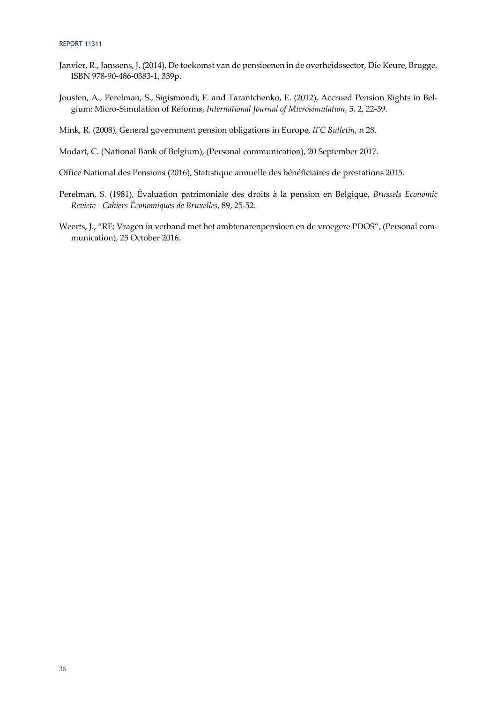- Janvier, R., Janssens, J. (2014), De toekomst van de pensioenen in de overheidssector, Die Keure, Brugge, ISBN 978-90-486-0383-1, 339p.
- Jousten, A., Perelman, S., Sigismondi, F. and Tarantchenko, E. (2012), Accrued Pension Rights in Belgium: Micro-Simulation of Reforms, *International Journal of Microsimulation*, 5, 2, 22-39.
- Mink, R. (2008), General government pension obligations in Europe, *IFC Bulletin*, n 28.
- Modart, C. (National Bank of Belgium), (Personal communication), 20 September 2017.
- Office National des Pensions (2016), Statistique annuelle des bénéficiaires de prestations 2015.
- Perelman, S. (1981), Évaluation patrimoniale des droits à la pension en Belgique, *Brussels Economic Review - Cahiers Économiques de Bruxelles*, 89, 25-52.
- Weerts, J., "RE: Vragen in verband met het ambtenarenpensioen en de vroegere PDOS", (Personal communication), 25 October 2016.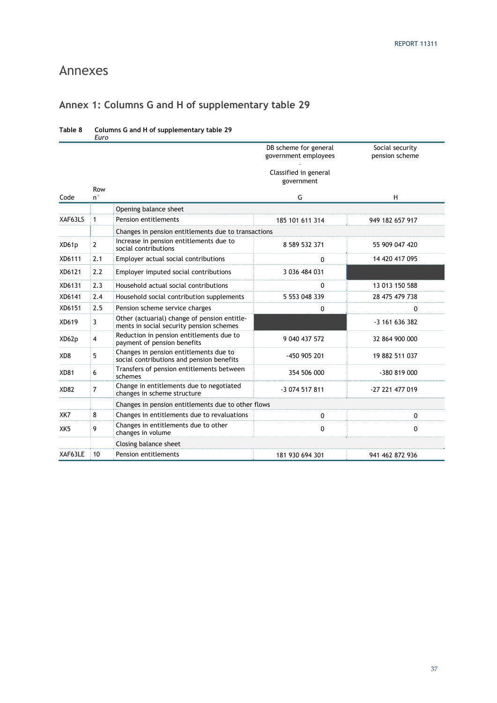# Annexes

# **Annex 1: Columns G and H of supplementary table 29**

|                 | Euro           |                                                                                          |                                               |                                   |
|-----------------|----------------|------------------------------------------------------------------------------------------|-----------------------------------------------|-----------------------------------|
|                 |                |                                                                                          | DB scheme for general<br>government employees | Social security<br>pension scheme |
|                 | Row            |                                                                                          | Classified in general<br>government           |                                   |
| Code            | $n^{\circ}$    |                                                                                          | G                                             | H                                 |
|                 |                | Opening balance sheet                                                                    |                                               |                                   |
| XAF63LS         | $\mathbf{1}$   | Pension entitlements                                                                     | 185 101 611 314                               | 949 182 657 917                   |
|                 |                | Changes in pension entitlements due to transactions                                      |                                               |                                   |
| XD61p           | $\overline{2}$ | Increase in pension entitlements due to<br>social contributions                          | 8 589 532 371                                 | 55 909 047 420                    |
| XD6111          | 2.1            | Employer actual social contributions                                                     | 0                                             | 14 420 417 095                    |
| XD6121          | 2.2            | Employer imputed social contributions                                                    | 3 036 484 031                                 |                                   |
| XD6131          | 2.3            | Household actual social contributions                                                    | 0                                             | 13 013 150 588                    |
| XD6141          | 2.4            | Household social contribution supplements                                                | 5 553 048 339                                 | 28 475 479 738                    |
| XD6151          | 2.5            | Pension scheme service charges                                                           | 0                                             | 0                                 |
| XD619           | 3              | Other (actuarial) change of pension entitle-<br>ments in social security pension schemes |                                               | $-3$ 161 636 382                  |
| XD62p           | $\overline{4}$ | Reduction in pension entitlements due to<br>payment of pension benefits                  | 9 040 437 572                                 | 32 864 900 000                    |
| XD8             | 5              | Changes in pension entitlements due to<br>social contributions and pension benefits      | -450 905 201                                  | 19 882 511 037                    |
| <b>XD81</b>     | 6              | Transfers of pension entitlements between<br>schemes                                     | 354 506 000                                   | -380 819 000                      |
| <b>XD82</b>     | $\overline{7}$ | Change in entitlements due to negotiated<br>changes in scheme structure                  | -3 074 517 811                                | -27 221 477 019                   |
|                 |                | Changes in pension entitlements due to other flows                                       |                                               |                                   |
| XK7             | 8              | Changes in entitlements due to revaluations                                              | 0                                             | 0                                 |
| XK <sub>5</sub> | 9              | Changes in entitlements due to other<br>changes in volume                                | $\mathbf{0}$                                  | $\mathbf{0}$                      |
|                 |                | Closing balance sheet                                                                    |                                               |                                   |
| XAF63LE         | 10<br>÷        | <b>Pension entitlements</b>                                                              | 181 930 694 301                               | 941 462 872 936                   |

### **Table 8 Columns G and H of supplementary table 29**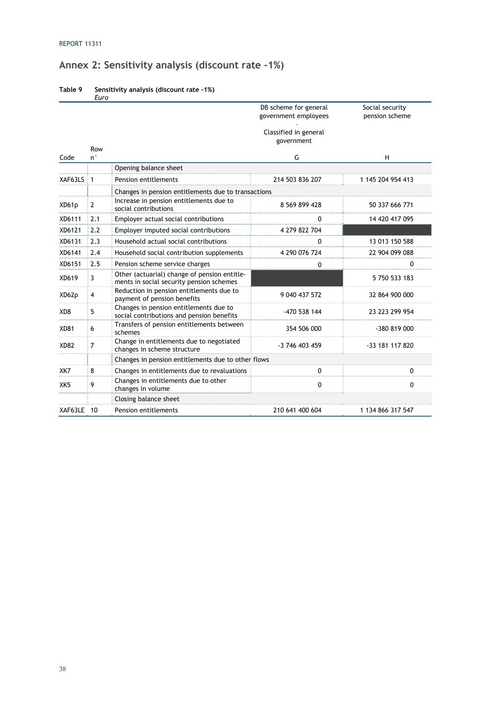# **Annex 2: Sensitivity analysis (discount rate -1%)**

| Table 9 | Sensitivity analysis (discount rate -1%) |
|---------|------------------------------------------|
|         | Euro                                     |

|                 |                    |                                                                                          | DB scheme for general<br>government employees | Social security<br>pension scheme |  |  |  |
|-----------------|--------------------|------------------------------------------------------------------------------------------|-----------------------------------------------|-----------------------------------|--|--|--|
|                 |                    |                                                                                          | Classified in general<br>government           |                                   |  |  |  |
| Code            | Row<br>$n^{\circ}$ |                                                                                          | G                                             | H                                 |  |  |  |
|                 |                    | Opening balance sheet                                                                    |                                               |                                   |  |  |  |
| XAF63LS         | $\mathbf{1}$       | Pension entitlements                                                                     | 214 503 836 207                               | 1 145 204 954 413                 |  |  |  |
|                 |                    | Changes in pension entitlements due to transactions                                      |                                               |                                   |  |  |  |
| XD61p           | $\overline{2}$     | Increase in pension entitlements due to<br>social contributions                          | 8 569 899 428                                 | 50 337 666 771                    |  |  |  |
| XD6111          | 2.1                | Employer actual social contributions                                                     | 0                                             | 14 420 417 095                    |  |  |  |
| XD6121          | 2.2                | Employer imputed social contributions                                                    | 4 279 822 704                                 |                                   |  |  |  |
| XD6131          | 2.3                | Household actual social contributions                                                    | 0                                             | 13 013 150 588                    |  |  |  |
| XD6141          | 2.4                | Household social contribution supplements                                                | 4 290 076 724                                 | 22 904 099 088                    |  |  |  |
| XD6151          | 2.5                | Pension scheme service charges                                                           | 0                                             | 0                                 |  |  |  |
| XD619           | 3                  | Other (actuarial) change of pension entitle-<br>ments in social security pension schemes |                                               | 5 750 533 183                     |  |  |  |
| XD62p           | $\overline{4}$     | Reduction in pension entitlements due to<br>payment of pension benefits                  | 9 040 437 572                                 | 32 864 900 000                    |  |  |  |
| XD <sub>8</sub> | 5                  | Changes in pension entitlements due to<br>social contributions and pension benefits      | -470 538 144                                  | 23 223 299 954                    |  |  |  |
| <b>XD81</b>     | 6                  | Transfers of pension entitlements between<br>schemes                                     | 354 506 000                                   | -380 819 000                      |  |  |  |
| XD82            | $\overline{7}$     | Change in entitlements due to negotiated<br>changes in scheme structure                  | -3 746 403 459                                | -33 181 117 820                   |  |  |  |
|                 |                    | Changes in pension entitlements due to other flows                                       |                                               |                                   |  |  |  |
| XK7             | 8                  | Changes in entitlements due to revaluations                                              | $\mathbf{0}$                                  | 0                                 |  |  |  |
| XK <sub>5</sub> | 9                  | Changes in entitlements due to other<br>changes in volume                                | $\mathbf{0}$                                  | $\mathbf{0}$                      |  |  |  |
|                 |                    | Closing balance sheet                                                                    |                                               |                                   |  |  |  |
| XAF63LE 10      |                    | Pension entitlements                                                                     | 210 641 400 604                               | 1 134 866 317 547                 |  |  |  |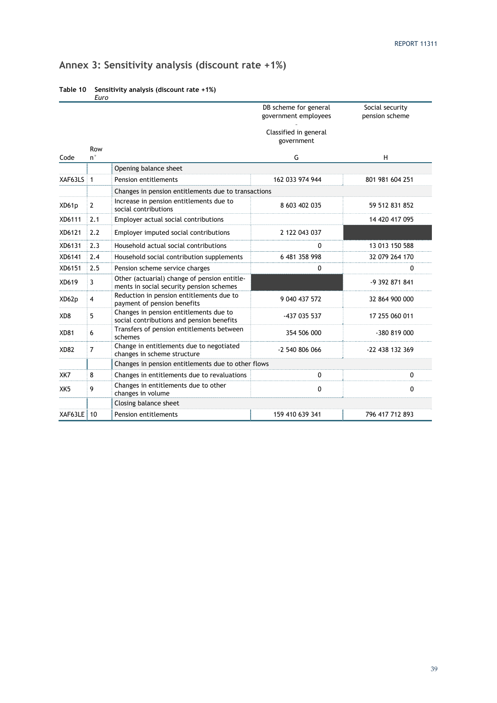# **Annex 3: Sensitivity analysis (discount rate +1%)**

|                 |                    |                                                                                          | DB scheme for general<br>government employees | Social security<br>pension scheme |  |  |  |
|-----------------|--------------------|------------------------------------------------------------------------------------------|-----------------------------------------------|-----------------------------------|--|--|--|
|                 |                    |                                                                                          | Classified in general<br>government           |                                   |  |  |  |
| Code            | Row<br>$n^{\circ}$ |                                                                                          | G                                             | H                                 |  |  |  |
|                 |                    | Opening balance sheet                                                                    |                                               |                                   |  |  |  |
| XAF63LS 1       |                    | Pension entitlements                                                                     | 162 033 974 944                               | 801 981 604 251                   |  |  |  |
|                 |                    | Changes in pension entitlements due to transactions                                      |                                               |                                   |  |  |  |
| XD61p           | $\overline{2}$     | Increase in pension entitlements due to<br>social contributions                          | 8 603 402 035                                 | 59 512 831 852                    |  |  |  |
| XD6111          | 2.1                | Employer actual social contributions                                                     |                                               | 14 420 417 095                    |  |  |  |
| XD6121          | 2.2                | Employer imputed social contributions                                                    | 2 122 043 037                                 |                                   |  |  |  |
| XD6131          | 2.3                | Household actual social contributions                                                    | 0                                             | 13 013 150 588                    |  |  |  |
| XD6141          | 2.4                | Household social contribution supplements                                                | 6 481 358 998                                 | 32 079 264 170                    |  |  |  |
| XD6151          | 2.5                | Pension scheme service charges                                                           | 0                                             | $\mathbf{0}$                      |  |  |  |
| XD619           | 3                  | Other (actuarial) change of pension entitle-<br>ments in social security pension schemes |                                               | -9 392 871 841                    |  |  |  |
| XD62p           | $\overline{4}$     | Reduction in pension entitlements due to<br>payment of pension benefits                  | 9 040 437 572                                 | 32 864 900 000                    |  |  |  |
| XD <sub>8</sub> | 5                  | Changes in pension entitlements due to<br>social contributions and pension benefits      | -437 035 537                                  | 17 255 060 011                    |  |  |  |
| <b>XD81</b>     | 6                  | Transfers of pension entitlements between<br>schemes                                     | 354 506 000                                   | -380 819 000                      |  |  |  |
| <b>XD82</b>     | $\overline{7}$     | Change in entitlements due to negotiated<br>changes in scheme structure                  | -2 540 806 066                                | -22 438 132 369                   |  |  |  |
|                 |                    | Changes in pension entitlements due to other flows                                       |                                               |                                   |  |  |  |
| XK7             | 8                  | Changes in entitlements due to revaluations                                              | 0                                             | 0                                 |  |  |  |
| XK <sub>5</sub> | 9                  | Changes in entitlements due to other<br>changes in volume                                | 0                                             | $\mathbf{0}$                      |  |  |  |
|                 |                    | Closing balance sheet                                                                    |                                               |                                   |  |  |  |
| XAF63LE 10      |                    | Pension entitlements                                                                     | 159 410 639 341                               | 796 417 712 893                   |  |  |  |

#### **Table 10 Sensitivity analysis (discount rate +1%)**  *Euro*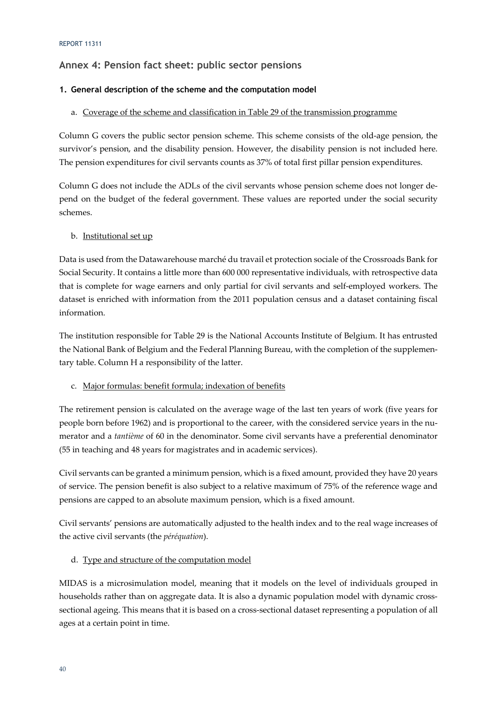# **Annex 4: Pension fact sheet: public sector pensions**

## **1. General description of the scheme and the computation model**

## a. Coverage of the scheme and classification in Table 29 of the transmission programme

Column G covers the public sector pension scheme. This scheme consists of the old-age pension, the survivor's pension, and the disability pension. However, the disability pension is not included here. The pension expenditures for civil servants counts as 37% of total first pillar pension expenditures.

Column G does not include the ADLs of the civil servants whose pension scheme does not longer depend on the budget of the federal government. These values are reported under the social security schemes.

### b. Institutional set up

Data is used from the Datawarehouse marché du travail et protection sociale of the Crossroads Bank for Social Security. It contains a little more than 600 000 representative individuals, with retrospective data that is complete for wage earners and only partial for civil servants and self-employed workers. The dataset is enriched with information from the 2011 population census and a dataset containing fiscal information.

The institution responsible for Table 29 is the National Accounts Institute of Belgium. It has entrusted the National Bank of Belgium and the Federal Planning Bureau, with the completion of the supplementary table. Column H a responsibility of the latter.

### c. Major formulas: benefit formula; indexation of benefits

The retirement pension is calculated on the average wage of the last ten years of work (five years for people born before 1962) and is proportional to the career, with the considered service years in the numerator and a *tantième* of 60 in the denominator. Some civil servants have a preferential denominator (55 in teaching and 48 years for magistrates and in academic services).

Civil servants can be granted a minimum pension, which is a fixed amount, provided they have 20 years of service. The pension benefit is also subject to a relative maximum of 75% of the reference wage and pensions are capped to an absolute maximum pension, which is a fixed amount.

Civil servants' pensions are automatically adjusted to the health index and to the real wage increases of the active civil servants (the *péréquation*).

# d. Type and structure of the computation model

MIDAS is a microsimulation model, meaning that it models on the level of individuals grouped in households rather than on aggregate data. It is also a dynamic population model with dynamic crosssectional ageing. This means that it is based on a cross-sectional dataset representing a population of all ages at a certain point in time.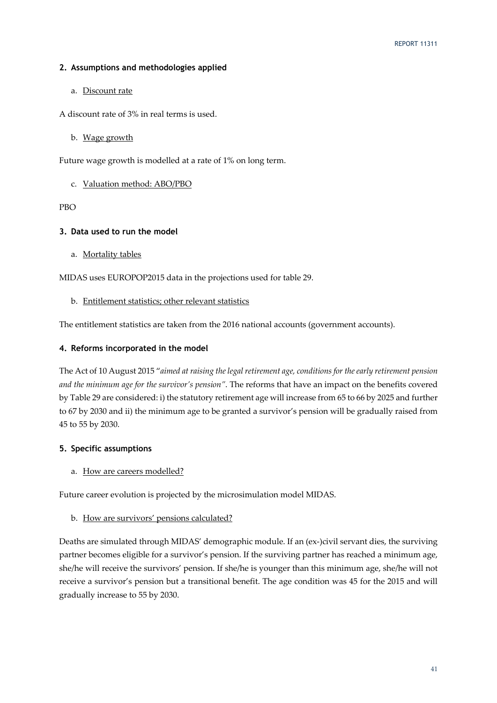### **2. Assumptions and methodologies applied**

### a. Discount rate

- A discount rate of 3% in real terms is used.
	- b. Wage growth

Future wage growth is modelled at a rate of 1% on long term.

### c. Valuation method: ABO/PBO

PBO

### **3. Data used to run the model**

a. Mortality tables

MIDAS uses EUROPOP2015 data in the projections used for table 29.

### b. Entitlement statistics; other relevant statistics

The entitlement statistics are taken from the 2016 national accounts (government accounts).

### **4. Reforms incorporated in the model**

The Act of 10 August 2015 "*aimed at raising the legal retirement age, conditions for the early retirement pension and the minimum age for the survivor's pension"*. The reforms that have an impact on the benefits covered by Table 29 are considered: i) the statutory retirement age will increase from 65 to 66 by 2025 and further to 67 by 2030 and ii) the minimum age to be granted a survivor's pension will be gradually raised from 45 to 55 by 2030.

### **5. Specific assumptions**

### a. How are careers modelled?

Future career evolution is projected by the microsimulation model MIDAS.

### b. How are survivors' pensions calculated?

Deaths are simulated through MIDAS' demographic module. If an (ex-)civil servant dies, the surviving partner becomes eligible for a survivor's pension. If the surviving partner has reached a minimum age, she/he will receive the survivors' pension. If she/he is younger than this minimum age, she/he will not receive a survivor's pension but a transitional benefit. The age condition was 45 for the 2015 and will gradually increase to 55 by 2030.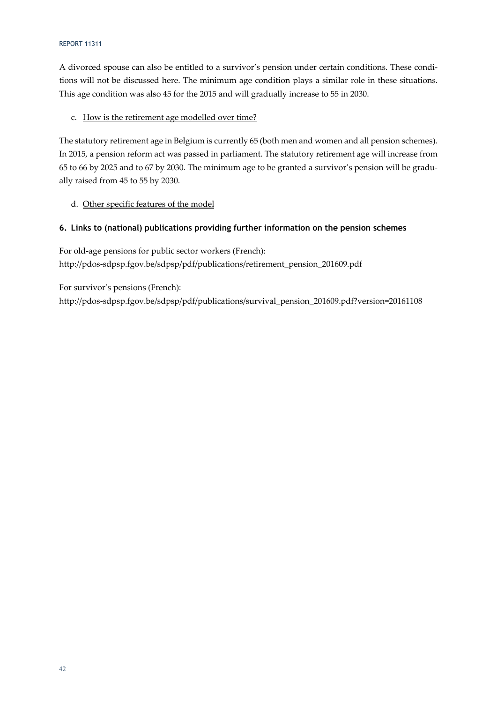### REPORT 11311

A divorced spouse can also be entitled to a survivor's pension under certain conditions. These conditions will not be discussed here. The minimum age condition plays a similar role in these situations. This age condition was also 45 for the 2015 and will gradually increase to 55 in 2030.

### c. How is the retirement age modelled over time?

The statutory retirement age in Belgium is currently 65 (both men and women and all pension schemes). In 2015, a pension reform act was passed in parliament. The statutory retirement age will increase from 65 to 66 by 2025 and to 67 by 2030. The minimum age to be granted a survivor's pension will be gradually raised from 45 to 55 by 2030.

### d. Other specific features of the model

### **6. Links to (national) publications providing further information on the pension schemes**

For old-age pensions for public sector workers (French): http://pdos-sdpsp.fgov.be/sdpsp/pdf/publications/retirement\_pension\_201609.pdf

For survivor's pensions (French):

http://pdos-sdpsp.fgov.be/sdpsp/pdf/publications/survival\_pension\_201609.pdf?version=20161108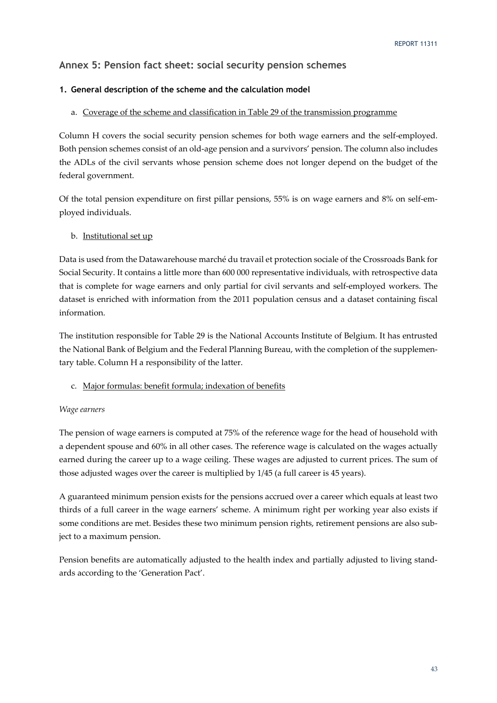# **Annex 5: Pension fact sheet: social security pension schemes**

### **1. General description of the scheme and the calculation model**

### a. Coverage of the scheme and classification in Table 29 of the transmission programme

Column H covers the social security pension schemes for both wage earners and the self-employed. Both pension schemes consist of an old-age pension and a survivors' pension. The column also includes the ADLs of the civil servants whose pension scheme does not longer depend on the budget of the federal government.

Of the total pension expenditure on first pillar pensions, 55% is on wage earners and 8% on self-employed individuals.

### b. Institutional set up

Data is used from the Datawarehouse marché du travail et protection sociale of the Crossroads Bank for Social Security. It contains a little more than 600 000 representative individuals, with retrospective data that is complete for wage earners and only partial for civil servants and self-employed workers. The dataset is enriched with information from the 2011 population census and a dataset containing fiscal information.

The institution responsible for Table 29 is the National Accounts Institute of Belgium. It has entrusted the National Bank of Belgium and the Federal Planning Bureau, with the completion of the supplementary table. Column H a responsibility of the latter.

### c. Major formulas: benefit formula; indexation of benefits

### *Wage earners*

The pension of wage earners is computed at 75% of the reference wage for the head of household with a dependent spouse and 60% in all other cases. The reference wage is calculated on the wages actually earned during the career up to a wage ceiling. These wages are adjusted to current prices. The sum of those adjusted wages over the career is multiplied by 1/45 (a full career is 45 years).

A guaranteed minimum pension exists for the pensions accrued over a career which equals at least two thirds of a full career in the wage earners' scheme. A minimum right per working year also exists if some conditions are met. Besides these two minimum pension rights, retirement pensions are also subject to a maximum pension.

Pension benefits are automatically adjusted to the health index and partially adjusted to living standards according to the 'Generation Pact'.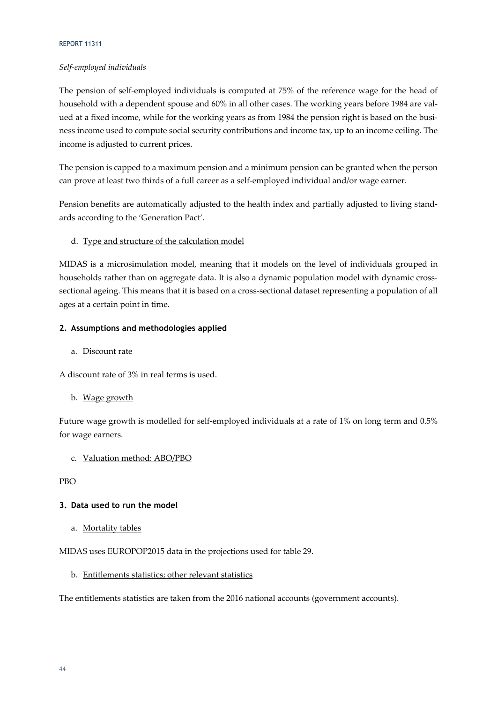### REPORT 11311

### *Self-employed individuals*

The pension of self-employed individuals is computed at 75% of the reference wage for the head of household with a dependent spouse and 60% in all other cases. The working years before 1984 are valued at a fixed income, while for the working years as from 1984 the pension right is based on the business income used to compute social security contributions and income tax, up to an income ceiling. The income is adjusted to current prices.

The pension is capped to a maximum pension and a minimum pension can be granted when the person can prove at least two thirds of a full career as a self-employed individual and/or wage earner.

Pension benefits are automatically adjusted to the health index and partially adjusted to living standards according to the 'Generation Pact'.

### d. Type and structure of the calculation model

MIDAS is a microsimulation model, meaning that it models on the level of individuals grouped in households rather than on aggregate data. It is also a dynamic population model with dynamic crosssectional ageing. This means that it is based on a cross-sectional dataset representing a population of all ages at a certain point in time.

### **2. Assumptions and methodologies applied**

### a. Discount rate

A discount rate of 3% in real terms is used.

### b. Wage growth

Future wage growth is modelled for self-employed individuals at a rate of 1% on long term and 0.5% for wage earners.

### c. Valuation method: ABO/PBO

PBO

### **3. Data used to run the model**

a. Mortality tables

MIDAS uses EUROPOP2015 data in the projections used for table 29.

### b. Entitlements statistics; other relevant statistics

The entitlements statistics are taken from the 2016 national accounts (government accounts).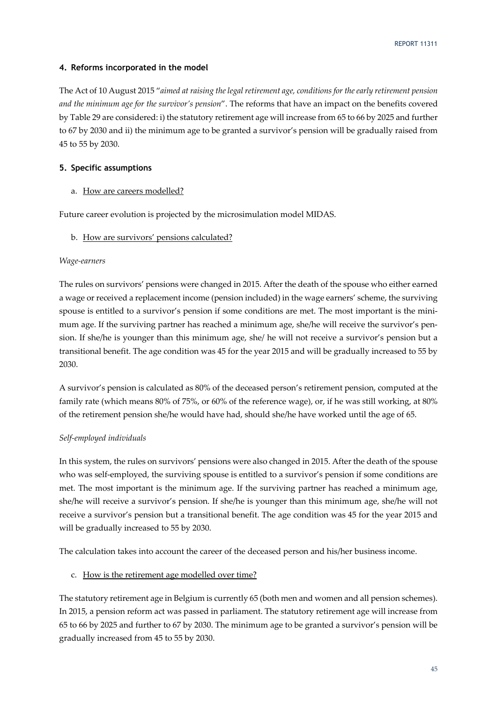### **4. Reforms incorporated in the model**

The Act of 10 August 2015 "*aimed at raising the legal retirement age, conditions for the early retirement pension and the minimum age for the survivor's pension*". The reforms that have an impact on the benefits covered by Table 29 are considered: i) the statutory retirement age will increase from 65 to 66 by 2025 and further to 67 by 2030 and ii) the minimum age to be granted a survivor's pension will be gradually raised from 45 to 55 by 2030.

### **5. Specific assumptions**

### a. How are careers modelled?

Future career evolution is projected by the microsimulation model MIDAS.

### b. How are survivors' pensions calculated?

### *Wage-earners*

The rules on survivors' pensions were changed in 2015. After the death of the spouse who either earned a wage or received a replacement income (pension included) in the wage earners' scheme, the surviving spouse is entitled to a survivor's pension if some conditions are met. The most important is the minimum age. If the surviving partner has reached a minimum age, she/he will receive the survivor's pension. If she/he is younger than this minimum age, she/ he will not receive a survivor's pension but a transitional benefit. The age condition was 45 for the year 2015 and will be gradually increased to 55 by 2030.

A survivor's pension is calculated as 80% of the deceased person's retirement pension, computed at the family rate (which means 80% of 75%, or 60% of the reference wage), or, if he was still working, at 80% of the retirement pension she/he would have had, should she/he have worked until the age of 65.

### *Self-employed individuals*

In this system, the rules on survivors' pensions were also changed in 2015. After the death of the spouse who was self-employed, the surviving spouse is entitled to a survivor's pension if some conditions are met. The most important is the minimum age. If the surviving partner has reached a minimum age, she/he will receive a survivor's pension. If she/he is younger than this minimum age, she/he will not receive a survivor's pension but a transitional benefit. The age condition was 45 for the year 2015 and will be gradually increased to 55 by 2030.

The calculation takes into account the career of the deceased person and his/her business income.

### c. How is the retirement age modelled over time?

The statutory retirement age in Belgium is currently 65 (both men and women and all pension schemes). In 2015, a pension reform act was passed in parliament. The statutory retirement age will increase from 65 to 66 by 2025 and further to 67 by 2030. The minimum age to be granted a survivor's pension will be gradually increased from 45 to 55 by 2030.